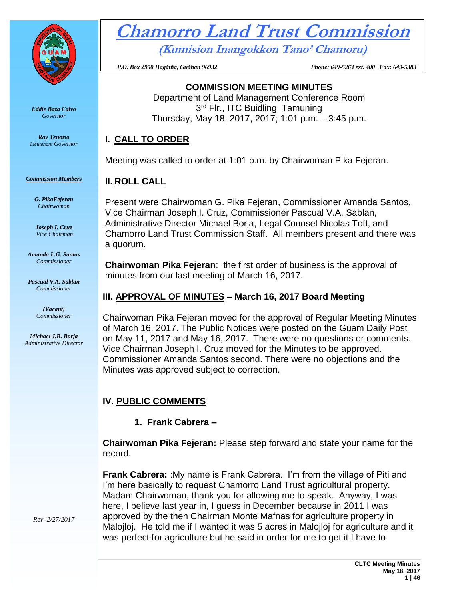

*Eddie Baza Calvo Governor*

*Ray Tenorio Lieutenant Governor*

*Commission Members*

*G. PikaFejeran Chairwoman*

*Joseph I. Cruz Vice Chairman*

*Amanda L.G. Santos Commissioner*

*Pascual V.A. Sablan Commissioner*

> *(Vacant) Commissioner*

*Michael J.B. Borja Administrative Director*

# **Chamorro Land Trust Commission (Kumision Inangokkon Tano' Chamoru)**

 *P.O. Box 2950 Hagåtña, Guåhan 96932 Phone: 649-5263 ext. 400 Fax: 649-5383*

**COMMISSION MEETING MINUTES** Department of Land Management Conference Room 3<sup>rd</sup> Flr., ITC Buidling, Tamuning

Thursday, May 18, 2017, 2017; 1:01 p.m. – 3:45 p.m.

## **I. CALL TO ORDER**

Meeting was called to order at 1:01 p.m. by Chairwoman Pika Fejeran.

## **II. ROLL CALL**

Present were Chairwoman G. Pika Fejeran, Commissioner Amanda Santos, Vice Chairman Joseph I. Cruz, Commissioner Pascual V.A. Sablan, Administrative Director Michael Borja, Legal Counsel Nicolas Toft, and Chamorro Land Trust Commission Staff. All members present and there was a quorum.

**Chairwoman Pika Fejeran**: the first order of business is the approval of minutes from our last meeting of March 16, 2017.

#### **III. APPROVAL OF MINUTES – March 16, 2017 Board Meeting**

Chairwoman Pika Fejeran moved for the approval of Regular Meeting Minutes of March 16, 2017. The Public Notices were posted on the Guam Daily Post on May 11, 2017 and May 16, 2017. There were no questions or comments. Vice Chairman Joseph I. Cruz moved for the Minutes to be approved. Commissioner Amanda Santos second. There were no objections and the Minutes was approved subject to correction.

# **IV. PUBLIC COMMENTS**

**1. Frank Cabrera –**

**Chairwoman Pika Fejeran:** Please step forward and state your name for the record.

**Frank Cabrera:** : My name is Frank Cabrera. I'm from the village of Piti and I'm here basically to request Chamorro Land Trust agricultural property. Madam Chairwoman, thank you for allowing me to speak. Anyway, I was here, I believe last year in, I guess in December because in 2011 I was approved by the then Chairman Monte Mafnas for agriculture property in Malojloj. He told me if I wanted it was 5 acres in Malojloj for agriculture and it was perfect for agriculture but he said in order for me to get it I have to

*Rev. 2/27/2017*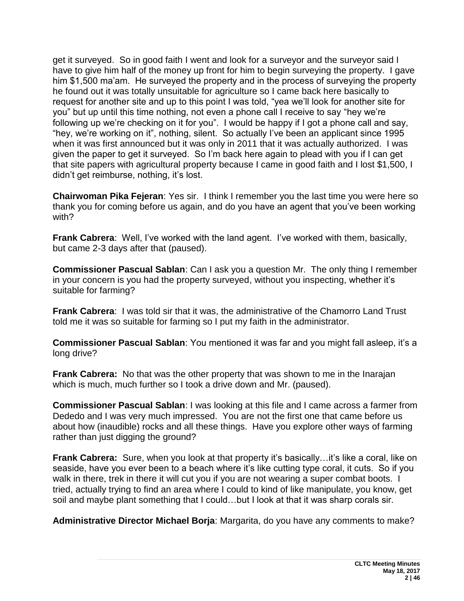get it surveyed. So in good faith I went and look for a surveyor and the surveyor said I have to give him half of the money up front for him to begin surveying the property. I gave him \$1,500 ma'am. He surveyed the property and in the process of surveying the property he found out it was totally unsuitable for agriculture so I came back here basically to request for another site and up to this point I was told, "yea we'll look for another site for you" but up until this time nothing, not even a phone call I receive to say "hey we're following up we're checking on it for you". I would be happy if I got a phone call and say, "hey, we're working on it", nothing, silent. So actually I've been an applicant since 1995 when it was first announced but it was only in 2011 that it was actually authorized. I was given the paper to get it surveyed. So I'm back here again to plead with you if I can get that site papers with agricultural property because I came in good faith and I lost \$1,500, I didn't get reimburse, nothing, it's lost.

**Chairwoman Pika Fejeran**: Yes sir. I think I remember you the last time you were here so thank you for coming before us again, and do you have an agent that you've been working with?

**Frank Cabrera**: Well, I've worked with the land agent. I've worked with them, basically, but came 2-3 days after that (paused).

**Commissioner Pascual Sablan**: Can I ask you a question Mr. The only thing I remember in your concern is you had the property surveyed, without you inspecting, whether it's suitable for farming?

**Frank Cabrera**: I was told sir that it was, the administrative of the Chamorro Land Trust told me it was so suitable for farming so I put my faith in the administrator.

**Commissioner Pascual Sablan**: You mentioned it was far and you might fall asleep, it's a long drive?

**Frank Cabrera:** No that was the other property that was shown to me in the Inarajan which is much, much further so I took a drive down and Mr. (paused).

**Commissioner Pascual Sablan**: I was looking at this file and I came across a farmer from Dededo and I was very much impressed. You are not the first one that came before us about how (inaudible) rocks and all these things. Have you explore other ways of farming rather than just digging the ground?

**Frank Cabrera:** Sure, when you look at that property it's basically…it's like a coral, like on seaside, have you ever been to a beach where it's like cutting type coral, it cuts. So if you walk in there, trek in there it will cut you if you are not wearing a super combat boots. I tried, actually trying to find an area where I could to kind of like manipulate, you know, get soil and maybe plant something that I could…but I look at that it was sharp corals sir.

**Administrative Director Michael Borja**: Margarita, do you have any comments to make?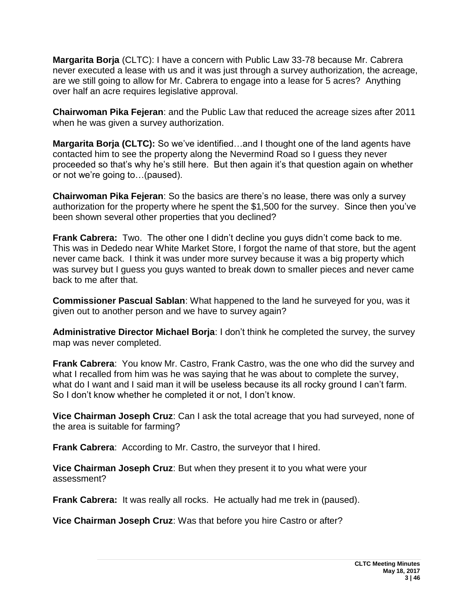**Margarita Borja** (CLTC): I have a concern with Public Law 33-78 because Mr. Cabrera never executed a lease with us and it was just through a survey authorization, the acreage, are we still going to allow for Mr. Cabrera to engage into a lease for 5 acres? Anything over half an acre requires legislative approval.

**Chairwoman Pika Fejeran**: and the Public Law that reduced the acreage sizes after 2011 when he was given a survey authorization.

**Margarita Borja (CLTC):** So we've identified...and I thought one of the land agents have contacted him to see the property along the Nevermind Road so I guess they never proceeded so that's why he's still here. But then again it's that question again on whether or not we're going to…(paused).

**Chairwoman Pika Fejeran**: So the basics are there's no lease, there was only a survey authorization for the property where he spent the \$1,500 for the survey. Since then you've been shown several other properties that you declined?

**Frank Cabrera:** Two. The other one I didn't decline you guys didn't come back to me. This was in Dededo near White Market Store, I forgot the name of that store, but the agent never came back. I think it was under more survey because it was a big property which was survey but I guess you guys wanted to break down to smaller pieces and never came back to me after that.

**Commissioner Pascual Sablan**: What happened to the land he surveyed for you, was it given out to another person and we have to survey again?

**Administrative Director Michael Borja**: I don't think he completed the survey, the survey map was never completed.

**Frank Cabrera**: You know Mr. Castro, Frank Castro, was the one who did the survey and what I recalled from him was he was saying that he was about to complete the survey, what do I want and I said man it will be useless because its all rocky ground I can't farm. So I don't know whether he completed it or not, I don't know.

**Vice Chairman Joseph Cruz**: Can I ask the total acreage that you had surveyed, none of the area is suitable for farming?

**Frank Cabrera**: According to Mr. Castro, the surveyor that I hired.

**Vice Chairman Joseph Cruz**: But when they present it to you what were your assessment?

**Frank Cabrera:** It was really all rocks. He actually had me trek in (paused).

**Vice Chairman Joseph Cruz**: Was that before you hire Castro or after?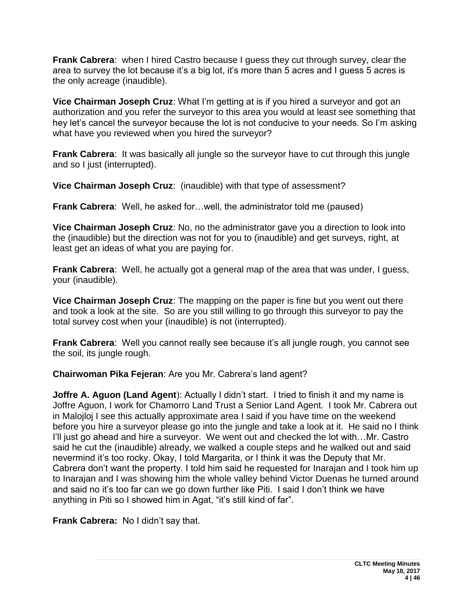**Frank Cabrera**: when I hired Castro because I guess they cut through survey, clear the area to survey the lot because it's a big lot, it's more than 5 acres and I guess 5 acres is the only acreage (inaudible).

**Vice Chairman Joseph Cruz**: What I'm getting at is if you hired a surveyor and got an authorization and you refer the surveyor to this area you would at least see something that hey let's cancel the surveyor because the lot is not conducive to your needs. So I'm asking what have you reviewed when you hired the surveyor?

**Frank Cabrera:** It was basically all jungle so the surveyor have to cut through this jungle and so I just (interrupted).

**Vice Chairman Joseph Cruz**: (inaudible) with that type of assessment?

**Frank Cabrera**: Well, he asked for…well, the administrator told me (paused)

**Vice Chairman Joseph Cruz**: No, no the administrator gave you a direction to look into the (inaudible) but the direction was not for you to (inaudible) and get surveys, right, at least get an ideas of what you are paying for.

**Frank Cabrera**: Well, he actually got a general map of the area that was under, I guess, your (inaudible).

**Vice Chairman Joseph Cruz**: The mapping on the paper is fine but you went out there and took a look at the site. So are you still willing to go through this surveyor to pay the total survey cost when your (inaudible) is not (interrupted).

**Frank Cabrera**: Well you cannot really see because it's all jungle rough, you cannot see the soil, its jungle rough.

**Chairwoman Pika Fejeran**: Are you Mr. Cabrera's land agent?

**Joffre A. Aguon (Land Agent**): Actually I didn't start. I tried to finish it and my name is Joffre Aguon, I work for Chamorro Land Trust a Senior Land Agent. I took Mr. Cabrera out in Malojloj I see this actually approximate area I said if you have time on the weekend before you hire a surveyor please go into the jungle and take a look at it. He said no I think I'll just go ahead and hire a surveyor. We went out and checked the lot with...Mr. Castro said he cut the (inaudible) already, we walked a couple steps and he walked out and said nevermind it's too rocky. Okay, I told Margarita, or I think it was the Deputy that Mr. Cabrera don't want the property. I told him said he requested for Inarajan and I took him up to Inarajan and I was showing him the whole valley behind Victor Duenas he turned around and said no it's too far can we go down further like Piti. I said I don't think we have anything in Piti so I showed him in Agat, "it's still kind of far".

**Frank Cabrera:** No I didn't say that.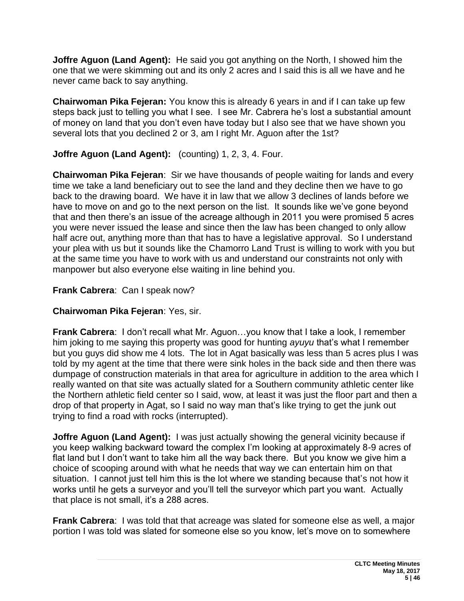**Joffre Aguon (Land Agent):** He said you got anything on the North, I showed him the one that we were skimming out and its only 2 acres and I said this is all we have and he never came back to say anything.

**Chairwoman Pika Fejeran:** You know this is already 6 years in and if I can take up few steps back just to telling you what I see. I see Mr. Cabrera he's lost a substantial amount of money on land that you don't even have today but I also see that we have shown you several lots that you declined 2 or 3, am I right Mr. Aguon after the 1st?

**Joffre Aguon (Land Agent):** (counting) 1, 2, 3, 4. Four.

**Chairwoman Pika Fejeran**: Sir we have thousands of people waiting for lands and every time we take a land beneficiary out to see the land and they decline then we have to go back to the drawing board. We have it in law that we allow 3 declines of lands before we have to move on and go to the next person on the list. It sounds like we've gone beyond that and then there's an issue of the acreage although in 2011 you were promised 5 acres you were never issued the lease and since then the law has been changed to only allow half acre out, anything more than that has to have a legislative approval. So I understand your plea with us but it sounds like the Chamorro Land Trust is willing to work with you but at the same time you have to work with us and understand our constraints not only with manpower but also everyone else waiting in line behind you.

### **Frank Cabrera**: Can I speak now?

### **Chairwoman Pika Fejeran**: Yes, sir.

**Frank Cabrera: I don't recall what Mr. Aguon... you know that I take a look, I remember** him joking to me saying this property was good for hunting *ayuyu* that's what I remember but you guys did show me 4 lots. The lot in Agat basically was less than 5 acres plus I was told by my agent at the time that there were sink holes in the back side and then there was dumpage of construction materials in that area for agriculture in addition to the area which I really wanted on that site was actually slated for a Southern community athletic center like the Northern athletic field center so I said, wow, at least it was just the floor part and then a drop of that property in Agat, so I said no way man that's like trying to get the junk out trying to find a road with rocks (interrupted).

**Joffre Aguon (Land Agent):** I was just actually showing the general vicinity because if you keep walking backward toward the complex I'm looking at approximately 8-9 acres of flat land but I don't want to take him all the way back there. But you know we give him a choice of scooping around with what he needs that way we can entertain him on that situation. I cannot just tell him this is the lot where we standing because that's not how it works until he gets a surveyor and you'll tell the surveyor which part you want. Actually that place is not small, it's a 288 acres.

**Frank Cabrera:** I was told that that acreage was slated for someone else as well, a major portion I was told was slated for someone else so you know, let's move on to somewhere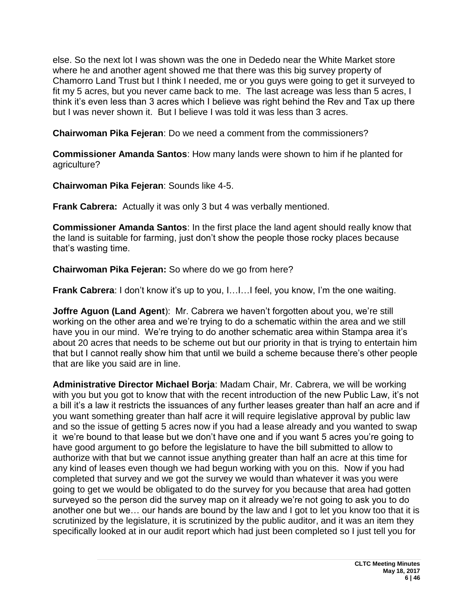else. So the next lot I was shown was the one in Dededo near the White Market store where he and another agent showed me that there was this big survey property of Chamorro Land Trust but I think I needed, me or you guys were going to get it surveyed to fit my 5 acres, but you never came back to me. The last acreage was less than 5 acres, I think it's even less than 3 acres which I believe was right behind the Rev and Tax up there but I was never shown it. But I believe I was told it was less than 3 acres.

**Chairwoman Pika Fejeran**: Do we need a comment from the commissioners?

**Commissioner Amanda Santos**: How many lands were shown to him if he planted for agriculture?

**Chairwoman Pika Fejeran**: Sounds like 4-5.

**Frank Cabrera:** Actually it was only 3 but 4 was verbally mentioned.

**Commissioner Amanda Santos**: In the first place the land agent should really know that the land is suitable for farming, just don't show the people those rocky places because that's wasting time.

**Chairwoman Pika Fejeran:** So where do we go from here?

**Frank Cabrera**: I don't know it's up to you, I...I...I feel, you know, I'm the one waiting.

**Joffre Aguon (Land Agent**): Mr. Cabrera we haven't forgotten about you, we're still working on the other area and we're trying to do a schematic within the area and we still have you in our mind. We're trying to do another schematic area within Stampa area it's about 20 acres that needs to be scheme out but our priority in that is trying to entertain him that but I cannot really show him that until we build a scheme because there's other people that are like you said are in line.

**Administrative Director Michael Borja**: Madam Chair, Mr. Cabrera, we will be working with you but you got to know that with the recent introduction of the new Public Law, it's not a bill it's a law it restricts the issuances of any further leases greater than half an acre and if you want something greater than half acre it will require legislative approval by public law and so the issue of getting 5 acres now if you had a lease already and you wanted to swap it we're bound to that lease but we don't have one and if you want 5 acres you're going to have good argument to go before the legislature to have the bill submitted to allow to authorize with that but we cannot issue anything greater than half an acre at this time for any kind of leases even though we had begun working with you on this. Now if you had completed that survey and we got the survey we would than whatever it was you were going to get we would be obligated to do the survey for you because that area had gotten surveyed so the person did the survey map on it already we're not going to ask you to do another one but we… our hands are bound by the law and I got to let you know too that it is scrutinized by the legislature, it is scrutinized by the public auditor, and it was an item they specifically looked at in our audit report which had just been completed so I just tell you for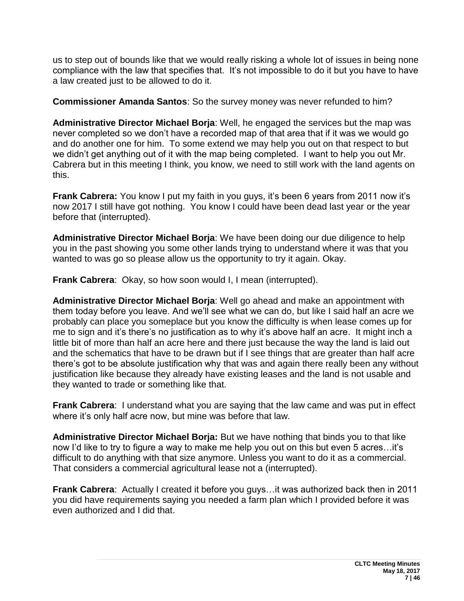us to step out of bounds like that we would really risking a whole lot of issues in being none compliance with the law that specifies that. It's not impossible to do it but you have to have a law created just to be allowed to do it.

**Commissioner Amanda Santos**: So the survey money was never refunded to him?

**Administrative Director Michael Borja**: Well, he engaged the services but the map was never completed so we don't have a recorded map of that area that if it was we would go and do another one for him. To some extend we may help you out on that respect to but we didn't get anything out of it with the map being completed. I want to help you out Mr. Cabrera but in this meeting I think, you know, we need to still work with the land agents on this.

**Frank Cabrera:** You know I put my faith in you guys, it's been 6 years from 2011 now it's now 2017 I still have got nothing. You know I could have been dead last year or the year before that (interrupted).

**Administrative Director Michael Borja**: We have been doing our due diligence to help you in the past showing you some other lands trying to understand where it was that you wanted to was go so please allow us the opportunity to try it again. Okay.

**Frank Cabrera**: Okay, so how soon would I, I mean (interrupted).

**Administrative Director Michael Borja**: Well go ahead and make an appointment with them today before you leave. And we'll see what we can do, but like I said half an acre we probably can place you someplace but you know the difficulty is when lease comes up for me to sign and it's there's no justification as to why it's above half an acre. It might inch a little bit of more than half an acre here and there just because the way the land is laid out and the schematics that have to be drawn but if I see things that are greater than half acre there's got to be absolute justification why that was and again there really been any without justification like because they already have existing leases and the land is not usable and they wanted to trade or something like that.

**Frank Cabrera**: I understand what you are saying that the law came and was put in effect where it's only half acre now, but mine was before that law.

**Administrative Director Michael Borja:** But we have nothing that binds you to that like now I'd like to try to figure a way to make me help you out on this but even 5 acres…it's difficult to do anything with that size anymore. Unless you want to do it as a commercial. That considers a commercial agricultural lease not a (interrupted).

**Frank Cabrera**: Actually I created it before you guys…it was authorized back then in 2011 you did have requirements saying you needed a farm plan which I provided before it was even authorized and I did that.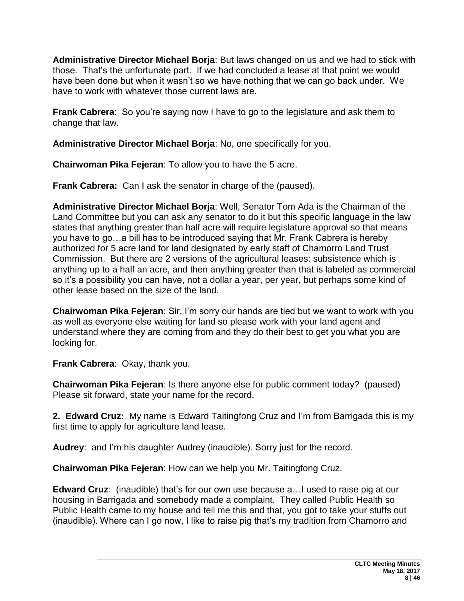**Administrative Director Michael Borja**: But laws changed on us and we had to stick with those. That's the unfortunate part. If we had concluded a lease at that point we would have been done but when it wasn't so we have nothing that we can go back under. We have to work with whatever those current laws are.

**Frank Cabrera**: So you're saying now I have to go to the legislature and ask them to change that law.

**Administrative Director Michael Borja**: No, one specifically for you.

**Chairwoman Pika Fejeran**: To allow you to have the 5 acre.

**Frank Cabrera:** Can I ask the senator in charge of the (paused).

**Administrative Director Michael Borja**: Well, Senator Tom Ada is the Chairman of the Land Committee but you can ask any senator to do it but this specific language in the law states that anything greater than half acre will require legislature approval so that means you have to go…a bill has to be introduced saying that Mr. Frank Cabrera is hereby authorized for 5 acre land for land designated by early staff of Chamorro Land Trust Commission. But there are 2 versions of the agricultural leases: subsistence which is anything up to a half an acre, and then anything greater than that is labeled as commercial so it's a possibility you can have, not a dollar a year, per year, but perhaps some kind of other lease based on the size of the land.

**Chairwoman Pika Fejeran**: Sir, I'm sorry our hands are tied but we want to work with you as well as everyone else waiting for land so please work with your land agent and understand where they are coming from and they do their best to get you what you are looking for.

**Frank Cabrera**: Okay, thank you.

**Chairwoman Pika Fejeran**: Is there anyone else for public comment today? (paused) Please sit forward, state your name for the record.

**2. Edward Cruz:** My name is Edward Taitingfong Cruz and I'm from Barrigada this is my first time to apply for agriculture land lease.

**Audrey**: and I'm his daughter Audrey (inaudible). Sorry just for the record.

**Chairwoman Pika Fejeran**: How can we help you Mr. Taitingfong Cruz.

**Edward Cruz**: (inaudible) that's for our own use because a…I used to raise pig at our housing in Barrigada and somebody made a complaint. They called Public Health so Public Health came to my house and tell me this and that, you got to take your stuffs out (inaudible). Where can I go now, I like to raise pig that's my tradition from Chamorro and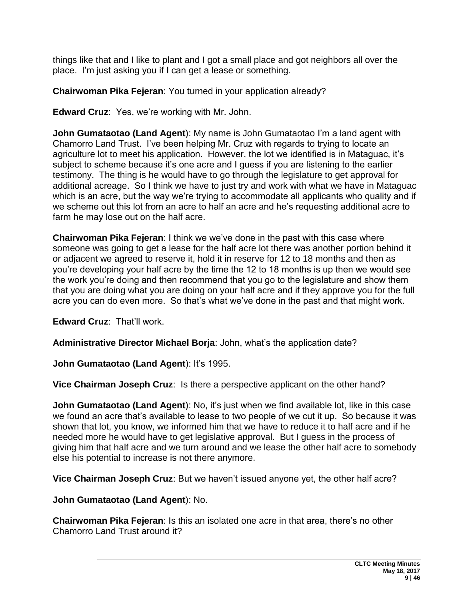things like that and I like to plant and I got a small place and got neighbors all over the place. I'm just asking you if I can get a lease or something.

**Chairwoman Pika Fejeran**: You turned in your application already?

**Edward Cruz**: Yes, we're working with Mr. John.

**John Gumataotao (Land Agent)**: My name is John Gumataotao I'm a land agent with Chamorro Land Trust. I've been helping Mr. Cruz with regards to trying to locate an agriculture lot to meet his application. However, the lot we identified is in Mataguac, it's subject to scheme because it's one acre and I guess if you are listening to the earlier testimony. The thing is he would have to go through the legislature to get approval for additional acreage. So I think we have to just try and work with what we have in Mataguac which is an acre, but the way we're trying to accommodate all applicants who quality and if we scheme out this lot from an acre to half an acre and he's requesting additional acre to farm he may lose out on the half acre.

**Chairwoman Pika Fejeran**: I think we we've done in the past with this case where someone was going to get a lease for the half acre lot there was another portion behind it or adjacent we agreed to reserve it, hold it in reserve for 12 to 18 months and then as you're developing your half acre by the time the 12 to 18 months is up then we would see the work you're doing and then recommend that you go to the legislature and show them that you are doing what you are doing on your half acre and if they approve you for the full acre you can do even more. So that's what we've done in the past and that might work.

**Edward Cruz**: That'll work.

**Administrative Director Michael Borja**: John, what's the application date?

**John Gumataotao (Land Agent): It's 1995.** 

**Vice Chairman Joseph Cruz**: Is there a perspective applicant on the other hand?

**John Gumataotao (Land Agent)**: No, it's just when we find available lot, like in this case we found an acre that's available to lease to two people of we cut it up. So because it was shown that lot, you know, we informed him that we have to reduce it to half acre and if he needed more he would have to get legislative approval. But I guess in the process of giving him that half acre and we turn around and we lease the other half acre to somebody else his potential to increase is not there anymore.

**Vice Chairman Joseph Cruz**: But we haven't issued anyone yet, the other half acre?

**John Gumataotao (Land Agent**): No.

**Chairwoman Pika Fejeran**: Is this an isolated one acre in that area, there's no other Chamorro Land Trust around it?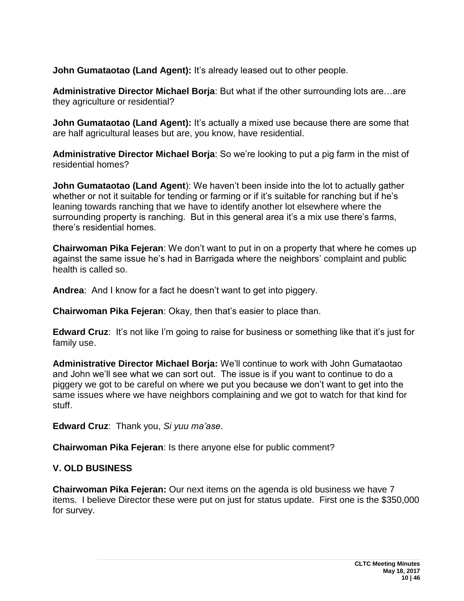**John Gumataotao (Land Agent):** It's already leased out to other people.

**Administrative Director Michael Borja**: But what if the other surrounding lots are…are they agriculture or residential?

**John Gumataotao (Land Agent):** It's actually a mixed use because there are some that are half agricultural leases but are, you know, have residential.

**Administrative Director Michael Borja**: So we're looking to put a pig farm in the mist of residential homes?

**John Gumataotao (Land Agent**): We haven't been inside into the lot to actually gather whether or not it suitable for tending or farming or if it's suitable for ranching but if he's leaning towards ranching that we have to identify another lot elsewhere where the surrounding property is ranching. But in this general area it's a mix use there's farms, there's residential homes.

**Chairwoman Pika Fejeran**: We don't want to put in on a property that where he comes up against the same issue he's had in Barrigada where the neighbors' complaint and public health is called so.

**Andrea**: And I know for a fact he doesn't want to get into piggery.

**Chairwoman Pika Fejeran**: Okay, then that's easier to place than.

**Edward Cruz**: It's not like I'm going to raise for business or something like that it's just for family use.

**Administrative Director Michael Borja:** We'll continue to work with John Gumataotao and John we'll see what we can sort out. The issue is if you want to continue to do a piggery we got to be careful on where we put you because we don't want to get into the same issues where we have neighbors complaining and we got to watch for that kind for stuff.

**Edward Cruz**: Thank you, *Si yuu ma'ase*.

**Chairwoman Pika Fejeran**: Is there anyone else for public comment?

#### **V. OLD BUSINESS**

**Chairwoman Pika Fejeran:** Our next items on the agenda is old business we have 7 items. I believe Director these were put on just for status update. First one is the \$350,000 for survey.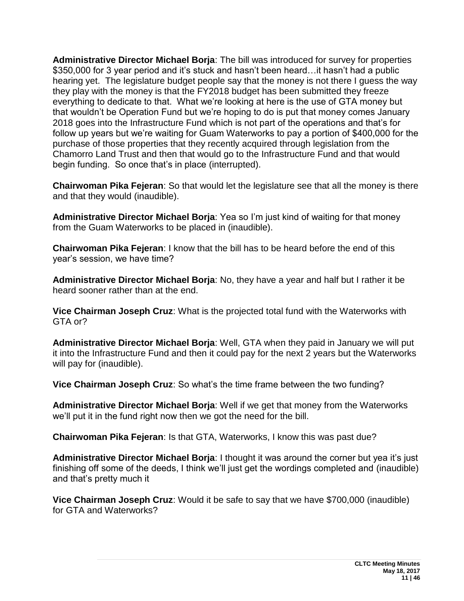**Administrative Director Michael Borja**: The bill was introduced for survey for properties \$350,000 for 3 year period and it's stuck and hasn't been heard…it hasn't had a public hearing yet. The legislature budget people say that the money is not there I guess the way they play with the money is that the FY2018 budget has been submitted they freeze everything to dedicate to that. What we're looking at here is the use of GTA money but that wouldn't be Operation Fund but we're hoping to do is put that money comes January 2018 goes into the Infrastructure Fund which is not part of the operations and that's for follow up years but we're waiting for Guam Waterworks to pay a portion of \$400,000 for the purchase of those properties that they recently acquired through legislation from the Chamorro Land Trust and then that would go to the Infrastructure Fund and that would begin funding. So once that's in place (interrupted).

**Chairwoman Pika Fejeran**: So that would let the legislature see that all the money is there and that they would (inaudible).

**Administrative Director Michael Borja**: Yea so I'm just kind of waiting for that money from the Guam Waterworks to be placed in (inaudible).

**Chairwoman Pika Fejeran**: I know that the bill has to be heard before the end of this year's session, we have time?

**Administrative Director Michael Borja**: No, they have a year and half but I rather it be heard sooner rather than at the end.

**Vice Chairman Joseph Cruz**: What is the projected total fund with the Waterworks with GTA or?

**Administrative Director Michael Borja**: Well, GTA when they paid in January we will put it into the Infrastructure Fund and then it could pay for the next 2 years but the Waterworks will pay for (inaudible).

**Vice Chairman Joseph Cruz**: So what's the time frame between the two funding?

**Administrative Director Michael Borja**: Well if we get that money from the Waterworks we'll put it in the fund right now then we got the need for the bill.

**Chairwoman Pika Fejeran**: Is that GTA, Waterworks, I know this was past due?

**Administrative Director Michael Borja**: I thought it was around the corner but yea it's just finishing off some of the deeds, I think we'll just get the wordings completed and (inaudible) and that's pretty much it

**Vice Chairman Joseph Cruz**: Would it be safe to say that we have \$700,000 (inaudible) for GTA and Waterworks?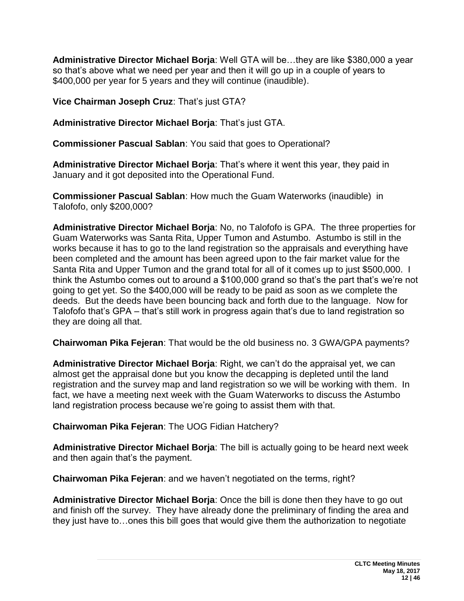**Administrative Director Michael Borja**: Well GTA will be…they are like \$380,000 a year so that's above what we need per year and then it will go up in a couple of years to \$400,000 per year for 5 years and they will continue (inaudible).

**Vice Chairman Joseph Cruz**: That's just GTA?

**Administrative Director Michael Borja**: That's just GTA.

**Commissioner Pascual Sablan**: You said that goes to Operational?

**Administrative Director Michael Borja**: That's where it went this year, they paid in January and it got deposited into the Operational Fund.

**Commissioner Pascual Sablan**: How much the Guam Waterworks (inaudible) in Talofofo, only \$200,000?

**Administrative Director Michael Borja**: No, no Talofofo is GPA. The three properties for Guam Waterworks was Santa Rita, Upper Tumon and Astumbo. Astumbo is still in the works because it has to go to the land registration so the appraisals and everything have been completed and the amount has been agreed upon to the fair market value for the Santa Rita and Upper Tumon and the grand total for all of it comes up to just \$500,000. I think the Astumbo comes out to around a \$100,000 grand so that's the part that's we're not going to get yet. So the \$400,000 will be ready to be paid as soon as we complete the deeds. But the deeds have been bouncing back and forth due to the language. Now for Talofofo that's GPA – that's still work in progress again that's due to land registration so they are doing all that.

**Chairwoman Pika Fejeran**: That would be the old business no. 3 GWA/GPA payments?

**Administrative Director Michael Borja**: Right, we can't do the appraisal yet, we can almost get the appraisal done but you know the decapping is depleted until the land registration and the survey map and land registration so we will be working with them. In fact, we have a meeting next week with the Guam Waterworks to discuss the Astumbo land registration process because we're going to assist them with that.

**Chairwoman Pika Fejeran**: The UOG Fidian Hatchery?

**Administrative Director Michael Borja**: The bill is actually going to be heard next week and then again that's the payment.

**Chairwoman Pika Fejeran**: and we haven't negotiated on the terms, right?

**Administrative Director Michael Borja**: Once the bill is done then they have to go out and finish off the survey. They have already done the preliminary of finding the area and they just have to…ones this bill goes that would give them the authorization to negotiate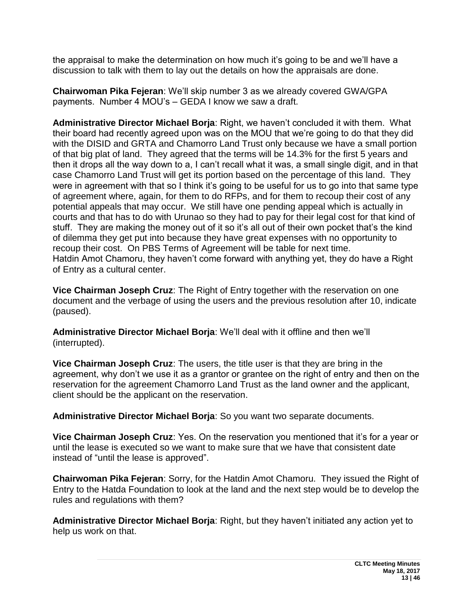the appraisal to make the determination on how much it's going to be and we'll have a discussion to talk with them to lay out the details on how the appraisals are done.

**Chairwoman Pika Fejeran**: We'll skip number 3 as we already covered GWA/GPA payments. Number 4 MOU's – GEDA I know we saw a draft.

**Administrative Director Michael Borja**: Right, we haven't concluded it with them. What their board had recently agreed upon was on the MOU that we're going to do that they did with the DISID and GRTA and Chamorro Land Trust only because we have a small portion of that big plat of land. They agreed that the terms will be 14.3% for the first 5 years and then it drops all the way down to a, I can't recall what it was, a small single digit, and in that case Chamorro Land Trust will get its portion based on the percentage of this land. They were in agreement with that so I think it's going to be useful for us to go into that same type of agreement where, again, for them to do RFPs, and for them to recoup their cost of any potential appeals that may occur. We still have one pending appeal which is actually in courts and that has to do with Urunao so they had to pay for their legal cost for that kind of stuff. They are making the money out of it so it's all out of their own pocket that's the kind of dilemma they get put into because they have great expenses with no opportunity to recoup their cost. On PBS Terms of Agreement will be table for next time. Hatdin Amot Chamoru, they haven't come forward with anything yet, they do have a Right of Entry as a cultural center.

**Vice Chairman Joseph Cruz**: The Right of Entry together with the reservation on one document and the verbage of using the users and the previous resolution after 10, indicate (paused).

**Administrative Director Michael Borja**: We'll deal with it offline and then we'll (interrupted).

**Vice Chairman Joseph Cruz**: The users, the title user is that they are bring in the agreement, why don't we use it as a grantor or grantee on the right of entry and then on the reservation for the agreement Chamorro Land Trust as the land owner and the applicant, client should be the applicant on the reservation.

**Administrative Director Michael Borja**: So you want two separate documents.

**Vice Chairman Joseph Cruz**: Yes. On the reservation you mentioned that it's for a year or until the lease is executed so we want to make sure that we have that consistent date instead of "until the lease is approved".

**Chairwoman Pika Fejeran**: Sorry, for the Hatdin Amot Chamoru. They issued the Right of Entry to the Hatda Foundation to look at the land and the next step would be to develop the rules and regulations with them?

**Administrative Director Michael Borja**: Right, but they haven't initiated any action yet to help us work on that.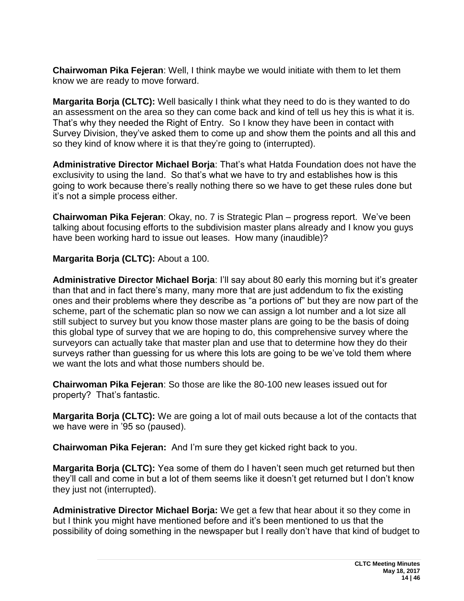**Chairwoman Pika Fejeran**: Well, I think maybe we would initiate with them to let them know we are ready to move forward.

**Margarita Borja (CLTC):** Well basically I think what they need to do is they wanted to do an assessment on the area so they can come back and kind of tell us hey this is what it is. That's why they needed the Right of Entry. So I know they have been in contact with Survey Division, they've asked them to come up and show them the points and all this and so they kind of know where it is that they're going to (interrupted).

**Administrative Director Michael Borja**: That's what Hatda Foundation does not have the exclusivity to using the land. So that's what we have to try and establishes how is this going to work because there's really nothing there so we have to get these rules done but it's not a simple process either.

**Chairwoman Pika Fejeran**: Okay, no. 7 is Strategic Plan – progress report. We've been talking about focusing efforts to the subdivision master plans already and I know you guys have been working hard to issue out leases. How many (inaudible)?

**Margarita Borja (CLTC):** About a 100.

**Administrative Director Michael Borja**: I'll say about 80 early this morning but it's greater than that and in fact there's many, many more that are just addendum to fix the existing ones and their problems where they describe as "a portions of" but they are now part of the scheme, part of the schematic plan so now we can assign a lot number and a lot size all still subject to survey but you know those master plans are going to be the basis of doing this global type of survey that we are hoping to do, this comprehensive survey where the surveyors can actually take that master plan and use that to determine how they do their surveys rather than guessing for us where this lots are going to be we've told them where we want the lots and what those numbers should be.

**Chairwoman Pika Fejeran**: So those are like the 80-100 new leases issued out for property? That's fantastic.

**Margarita Borja (CLTC):** We are going a lot of mail outs because a lot of the contacts that we have were in '95 so (paused).

**Chairwoman Pika Fejeran:** And I'm sure they get kicked right back to you.

**Margarita Borja (CLTC):** Yea some of them do I haven't seen much get returned but then they'll call and come in but a lot of them seems like it doesn't get returned but I don't know they just not (interrupted).

**Administrative Director Michael Borja:** We get a few that hear about it so they come in but I think you might have mentioned before and it's been mentioned to us that the possibility of doing something in the newspaper but I really don't have that kind of budget to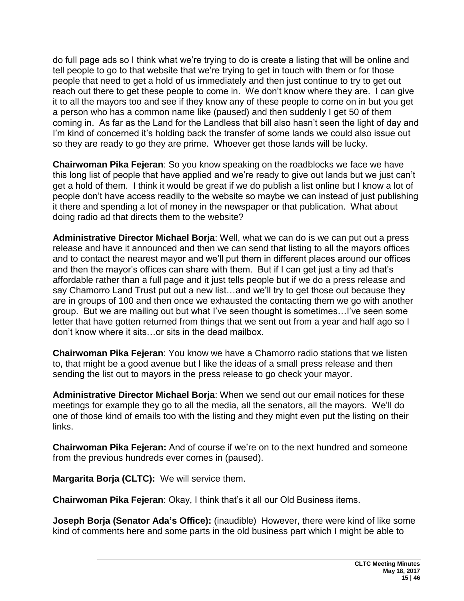do full page ads so I think what we're trying to do is create a listing that will be online and tell people to go to that website that we're trying to get in touch with them or for those people that need to get a hold of us immediately and then just continue to try to get out reach out there to get these people to come in. We don't know where they are. I can give it to all the mayors too and see if they know any of these people to come on in but you get a person who has a common name like (paused) and then suddenly I get 50 of them coming in. As far as the Land for the Landless that bill also hasn't seen the light of day and I'm kind of concerned it's holding back the transfer of some lands we could also issue out so they are ready to go they are prime. Whoever get those lands will be lucky.

**Chairwoman Pika Fejeran**: So you know speaking on the roadblocks we face we have this long list of people that have applied and we're ready to give out lands but we just can't get a hold of them. I think it would be great if we do publish a list online but I know a lot of people don't have access readily to the website so maybe we can instead of just publishing it there and spending a lot of money in the newspaper or that publication. What about doing radio ad that directs them to the website?

**Administrative Director Michael Borja**: Well, what we can do is we can put out a press release and have it announced and then we can send that listing to all the mayors offices and to contact the nearest mayor and we'll put them in different places around our offices and then the mayor's offices can share with them. But if I can get just a tiny ad that's affordable rather than a full page and it just tells people but if we do a press release and say Chamorro Land Trust put out a new list…and we'll try to get those out because they are in groups of 100 and then once we exhausted the contacting them we go with another group. But we are mailing out but what I've seen thought is sometimes…I've seen some letter that have gotten returned from things that we sent out from a year and half ago so I don't know where it sits…or sits in the dead mailbox.

**Chairwoman Pika Fejeran**: You know we have a Chamorro radio stations that we listen to, that might be a good avenue but I like the ideas of a small press release and then sending the list out to mayors in the press release to go check your mayor.

**Administrative Director Michael Borja**: When we send out our email notices for these meetings for example they go to all the media, all the senators, all the mayors. We'll do one of those kind of emails too with the listing and they might even put the listing on their links.

**Chairwoman Pika Fejeran:** And of course if we're on to the next hundred and someone from the previous hundreds ever comes in (paused).

**Margarita Borja (CLTC):** We will service them.

**Chairwoman Pika Fejeran**: Okay, I think that's it all our Old Business items.

**Joseph Borja (Senator Ada's Office):** (inaudible)However, there were kind of like some kind of comments here and some parts in the old business part which I might be able to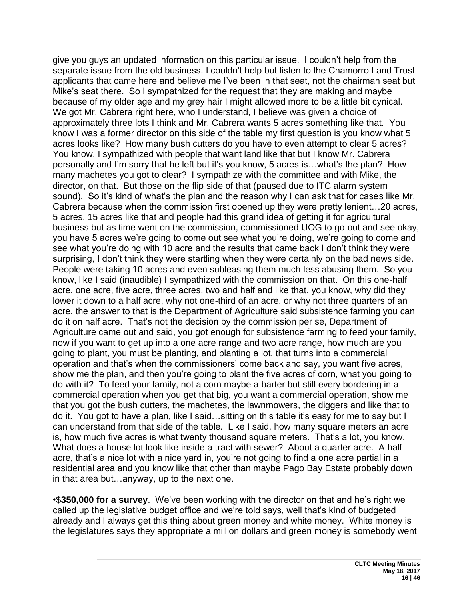give you guys an updated information on this particular issue. I couldn't help from the separate issue from the old business. I couldn't help but listen to the Chamorro Land Trust applicants that came here and believe me I've been in that seat, not the chairman seat but Mike's seat there. So I sympathized for the request that they are making and maybe because of my older age and my grey hair I might allowed more to be a little bit cynical. We got Mr. Cabrera right here, who I understand, I believe was given a choice of approximately three lots I think and Mr. Cabrera wants 5 acres something like that. You know I was a former director on this side of the table my first question is you know what 5 acres looks like? How many bush cutters do you have to even attempt to clear 5 acres? You know, I sympathized with people that want land like that but I know Mr. Cabrera personally and I'm sorry that he left but it's you know, 5 acres is…what's the plan? How many machetes you got to clear? I sympathize with the committee and with Mike, the director, on that. But those on the flip side of that (paused due to ITC alarm system sound). So it's kind of what's the plan and the reason why I can ask that for cases like Mr. Cabrera because when the commission first opened up they were pretty lenient…20 acres, 5 acres, 15 acres like that and people had this grand idea of getting it for agricultural business but as time went on the commission, commissioned UOG to go out and see okay, you have 5 acres we're going to come out see what you're doing, we're going to come and see what you're doing with 10 acre and the results that came back I don't think they were surprising, I don't think they were startling when they were certainly on the bad news side. People were taking 10 acres and even subleasing them much less abusing them. So you know, like I said (inaudible) I sympathized with the commission on that. On this one-half acre, one acre, five acre, three acres, two and half and like that, you know, why did they lower it down to a half acre, why not one-third of an acre, or why not three quarters of an acre, the answer to that is the Department of Agriculture said subsistence farming you can do it on half acre. That's not the decision by the commission per se, Department of Agriculture came out and said, you got enough for subsistence farming to feed your family, now if you want to get up into a one acre range and two acre range, how much are you going to plant, you must be planting, and planting a lot, that turns into a commercial operation and that's when the commissioners' come back and say, you want five acres, show me the plan, and then you're going to plant the five acres of corn, what you going to do with it? To feed your family, not a corn maybe a barter but still every bordering in a commercial operation when you get that big, you want a commercial operation, show me that you got the bush cutters, the machetes, the lawnmowers, the diggers and like that to do it. You got to have a plan, like I said…sitting on this table it's easy for me to say but I can understand from that side of the table. Like I said, how many square meters an acre is, how much five acres is what twenty thousand square meters. That's a lot, you know. What does a house lot look like inside a tract with sewer? About a quarter acre. A halfacre, that's a nice lot with a nice yard in, you're not going to find a one acre partial in a residential area and you know like that other than maybe Pago Bay Estate probably down in that area but…anyway, up to the next one.

•\$**350,000 for a survey**. We've been working with the director on that and he's right we called up the legislative budget office and we're told says, well that's kind of budgeted already and I always get this thing about green money and white money.White money is the legislatures says they appropriate a million dollars and green money is somebody went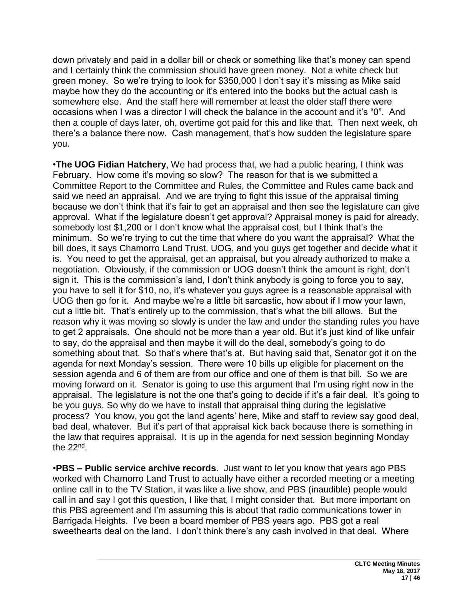down privately and paid in a dollar bill or check or something like that's money can spend and I certainly think the commission should have green money. Not a white check but green money. So we're trying to look for \$350,000 I don't say it's missing as Mike said maybe how they do the accounting or it's entered into the books but the actual cash is somewhere else. And the staff here will remember at least the older staff there were occasions when I was a director I will check the balance in the account and it's "0". And then a couple of days later, oh, overtime got paid for this and like that. Then next week, oh there's a balance there now. Cash management, that's how sudden the legislature spare you.

•**The UOG Fidian Hatchery**, We had process that, we had a public hearing, I think was February. How come it's moving so slow? The reason for that is we submitted a Committee Report to the Committee and Rules, the Committee and Rules came back and said we need an appraisal. And we are trying to fight this issue of the appraisal timing because we don't think that it's fair to get an appraisal and then see the legislature can give approval. What if the legislature doesn't get approval? Appraisal money is paid for already, somebody lost \$1,200 or I don't know what the appraisal cost, but I think that's the minimum. So we're trying to cut the time that where do you want the appraisal? What the bill does, it says Chamorro Land Trust, UOG, and you guys get together and decide what it is. You need to get the appraisal, get an appraisal, but you already authorized to make a negotiation. Obviously, if the commission or UOG doesn't think the amount is right, don't sign it. This is the commission's land, I don't think anybody is going to force you to say, you have to sell it for \$10, no, it's whatever you guys agree is a reasonable appraisal with UOG then go for it. And maybe we're a little bit sarcastic, how about if I mow your lawn, cut a little bit. That's entirely up to the commission, that's what the bill allows. But the reason why it was moving so slowly is under the law and under the standing rules you have to get 2 appraisals. One should not be more than a year old. But it's just kind of like unfair to say, do the appraisal and then maybe it will do the deal, somebody's going to do something about that. So that's where that's at. But having said that, Senator got it on the agenda for next Monday's session. There were 10 bills up eligible for placement on the session agenda and 6 of them are from our office and one of them is that bill. So we are moving forward on it. Senator is going to use this argument that I'm using right now in the appraisal. The legislature is not the one that's going to decide if it's a fair deal. It's going to be you guys. So why do we have to install that appraisal thing during the legislative process? You know, you got the land agents' here, Mike and staff to review say good deal, bad deal, whatever. But it's part of that appraisal kick back because there is something in the law that requires appraisal. It is up in the agenda for next session beginning Monday the 22nd .

•**PBS – Public service archive records**. Just want to let you know that years ago PBS worked with Chamorro Land Trust to actually have either a recorded meeting or a meeting online call in to the TV Station, it was like a live show, and PBS (inaudible) people would call in and say I got this question, I like that, I might consider that. But more important on this PBS agreement and I'm assuming this is about that radio communications tower in Barrigada Heights. I've been a board member of PBS years ago. PBS got a real sweethearts deal on the land. I don't think there's any cash involved in that deal. Where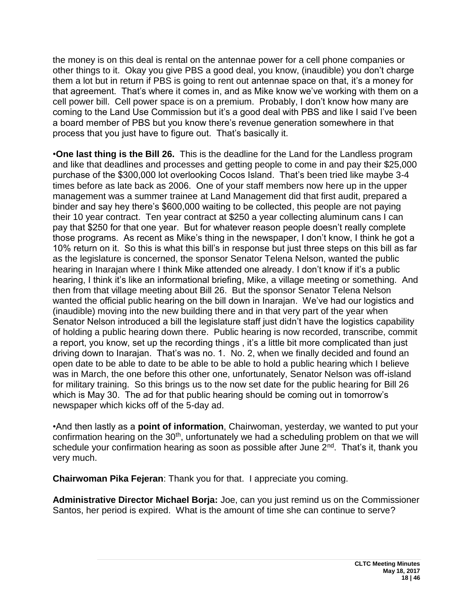the money is on this deal is rental on the antennae power for a cell phone companies or other things to it. Okay you give PBS a good deal, you know, (inaudible) you don't charge them a lot but in return if PBS is going to rent out antennae space on that, it's a money for that agreement. That's where it comes in, and as Mike know we've working with them on a cell power bill. Cell power space is on a premium. Probably, I don't know how many are coming to the Land Use Commission but it's a good deal with PBS and like I said I've been a board member of PBS but you know there's revenue generation somewhere in that process that you just have to figure out. That's basically it.

•**One last thing is the Bill 26.** This is the deadline for the Land for the Landless program and like that deadlines and processes and getting people to come in and pay their \$25,000 purchase of the \$300,000 lot overlooking Cocos Island. That's been tried like maybe 3-4 times before as late back as 2006. One of your staff members now here up in the upper management was a summer trainee at Land Management did that first audit, prepared a binder and say hey there's \$600,000 waiting to be collected, this people are not paying their 10 year contract. Ten year contract at \$250 a year collecting aluminum cans I can pay that \$250 for that one year. But for whatever reason people doesn't really complete those programs. As recent as Mike's thing in the newspaper, I don't know, I think he got a 10% return on it. So this is what this bill's in response but just three steps on this bill as far as the legislature is concerned, the sponsor Senator Telena Nelson, wanted the public hearing in Inarajan where I think Mike attended one already. I don't know if it's a public hearing, I think it's like an informational briefing, Mike, a village meeting or something. And then from that village meeting about Bill 26. But the sponsor Senator Telena Nelson wanted the official public hearing on the bill down in Inarajan. We've had our logistics and (inaudible) moving into the new building there and in that very part of the year when Senator Nelson introduced a bill the legislature staff just didn't have the logistics capability of holding a public hearing down there. Public hearing is now recorded, transcribe, commit a report, you know, set up the recording things , it's a little bit more complicated than just driving down to Inarajan. That's was no. 1. No. 2, when we finally decided and found an open date to be able to date to be able to be able to hold a public hearing which I believe was in March, the one before this other one, unfortunately, Senator Nelson was off-island for military training. So this brings us to the now set date for the public hearing for Bill 26 which is May 30. The ad for that public hearing should be coming out in tomorrow's newspaper which kicks off of the 5-day ad.

•And then lastly as a **point of information**, Chairwoman, yesterday, we wanted to put your confirmation hearing on the 30<sup>th</sup>, unfortunately we had a scheduling problem on that we will schedule your confirmation hearing as soon as possible after June 2<sup>nd</sup>. That's it, thank you very much.

**Chairwoman Pika Fejeran**: Thank you for that. I appreciate you coming.

**Administrative Director Michael Borja:** Joe, can you just remind us on the Commissioner Santos, her period is expired. What is the amount of time she can continue to serve?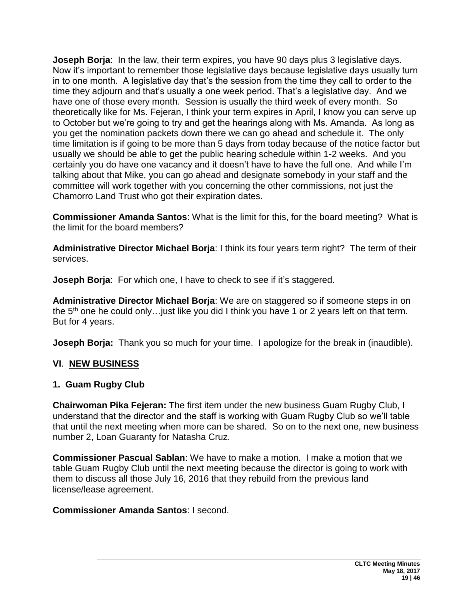**Joseph Borja:** In the law, their term expires, you have 90 days plus 3 legislative days. Now it's important to remember those legislative days because legislative days usually turn in to one month. A legislative day that's the session from the time they call to order to the time they adjourn and that's usually a one week period. That's a legislative day. And we have one of those every month. Session is usually the third week of every month. So theoretically like for Ms. Fejeran, I think your term expires in April, I know you can serve up to October but we're going to try and get the hearings along with Ms. Amanda. As long as you get the nomination packets down there we can go ahead and schedule it. The only time limitation is if going to be more than 5 days from today because of the notice factor but usually we should be able to get the public hearing schedule within 1-2 weeks. And you certainly you do have one vacancy and it doesn't have to have the full one. And while I'm talking about that Mike, you can go ahead and designate somebody in your staff and the committee will work together with you concerning the other commissions, not just the Chamorro Land Trust who got their expiration dates.

**Commissioner Amanda Santos**: What is the limit for this, for the board meeting? What is the limit for the board members?

**Administrative Director Michael Borja**: I think its four years term right? The term of their services.

**Joseph Borja:** For which one, I have to check to see if it's staggered.

**Administrative Director Michael Borja**: We are on staggered so if someone steps in on the  $5<sup>th</sup>$  one he could only... just like you did I think you have 1 or 2 years left on that term. But for 4 years.

**Joseph Borja:** Thank you so much for your time. I apologize for the break in (inaudible).

#### **VI**. **NEW BUSINESS**

#### **1. Guam Rugby Club**

**Chairwoman Pika Fejeran:** The first item under the new business Guam Rugby Club, I understand that the director and the staff is working with Guam Rugby Club so we'll table that until the next meeting when more can be shared. So on to the next one, new business number 2, Loan Guaranty for Natasha Cruz.

**Commissioner Pascual Sablan**: We have to make a motion. I make a motion that we table Guam Rugby Club until the next meeting because the director is going to work with them to discuss all those July 16, 2016 that they rebuild from the previous land license/lease agreement.

#### **Commissioner Amanda Santos**: I second.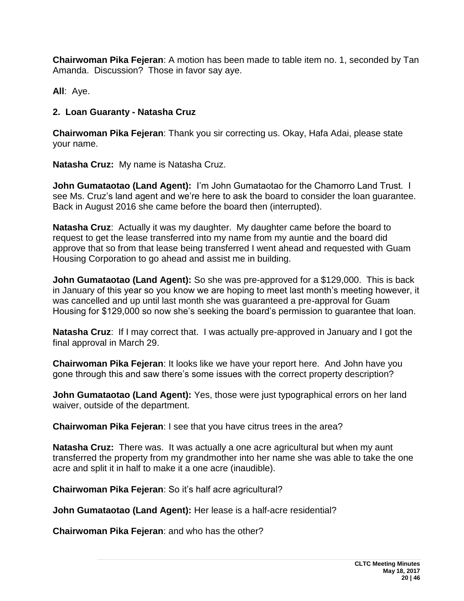**Chairwoman Pika Fejeran**: A motion has been made to table item no. 1, seconded by Tan Amanda. Discussion? Those in favor say aye.

**All**: Aye.

#### **2. Loan Guaranty - Natasha Cruz**

**Chairwoman Pika Fejeran**: Thank you sir correcting us. Okay, Hafa Adai, please state your name.

**Natasha Cruz:** My name is Natasha Cruz.

**John Gumataotao (Land Agent):** I'm John Gumataotao for the Chamorro Land Trust. I see Ms. Cruz's land agent and we're here to ask the board to consider the loan guarantee. Back in August 2016 she came before the board then (interrupted).

**Natasha Cruz**: Actually it was my daughter. My daughter came before the board to request to get the lease transferred into my name from my auntie and the board did approve that so from that lease being transferred I went ahead and requested with Guam Housing Corporation to go ahead and assist me in building.

**John Gumataotao (Land Agent):** So she was pre-approved for a \$129,000. This is back in January of this year so you know we are hoping to meet last month's meeting however, it was cancelled and up until last month she was guaranteed a pre-approval for Guam Housing for \$129,000 so now she's seeking the board's permission to guarantee that loan.

**Natasha Cruz**: If I may correct that. I was actually pre-approved in January and I got the final approval in March 29.

**Chairwoman Pika Fejeran**: It looks like we have your report here. And John have you gone through this and saw there's some issues with the correct property description?

**John Gumataotao (Land Agent):** Yes, those were just typographical errors on her land waiver, outside of the department.

**Chairwoman Pika Fejeran**: I see that you have citrus trees in the area?

**Natasha Cruz:** There was. It was actually a one acre agricultural but when my aunt transferred the property from my grandmother into her name she was able to take the one acre and split it in half to make it a one acre (inaudible).

**Chairwoman Pika Fejeran**: So it's half acre agricultural?

**John Gumataotao (Land Agent):** Her lease is a half-acre residential?

**Chairwoman Pika Fejeran**: and who has the other?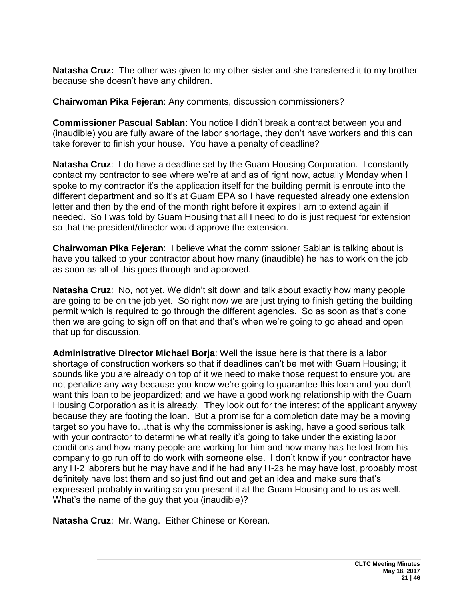**Natasha Cruz:** The other was given to my other sister and she transferred it to my brother because she doesn't have any children.

**Chairwoman Pika Fejeran**: Any comments, discussion commissioners?

**Commissioner Pascual Sablan**: You notice I didn't break a contract between you and (inaudible) you are fully aware of the labor shortage, they don't have workers and this can take forever to finish your house. You have a penalty of deadline?

**Natasha Cruz**: I do have a deadline set by the Guam Housing Corporation. I constantly contact my contractor to see where we're at and as of right now, actually Monday when I spoke to my contractor it's the application itself for the building permit is enroute into the different department and so it's at Guam EPA so I have requested already one extension letter and then by the end of the month right before it expires I am to extend again if needed. So I was told by Guam Housing that all I need to do is just request for extension so that the president/director would approve the extension.

**Chairwoman Pika Fejeran**: I believe what the commissioner Sablan is talking about is have you talked to your contractor about how many (inaudible) he has to work on the job as soon as all of this goes through and approved.

**Natasha Cruz**: No, not yet. We didn't sit down and talk about exactly how many people are going to be on the job yet. So right now we are just trying to finish getting the building permit which is required to go through the different agencies. So as soon as that's done then we are going to sign off on that and that's when we're going to go ahead and open that up for discussion.

**Administrative Director Michael Borja**: Well the issue here is that there is a labor shortage of construction workers so that if deadlines can't be met with Guam Housing; it sounds like you are already on top of it we need to make those request to ensure you are not penalize any way because you know we're going to guarantee this loan and you don't want this loan to be jeopardized; and we have a good working relationship with the Guam Housing Corporation as it is already. They look out for the interest of the applicant anyway because they are footing the loan. But a promise for a completion date may be a moving target so you have to…that is why the commissioner is asking, have a good serious talk with your contractor to determine what really it's going to take under the existing labor conditions and how many people are working for him and how many has he lost from his company to go run off to do work with someone else. I don't know if your contractor have any H-2 laborers but he may have and if he had any H-2s he may have lost, probably most definitely have lost them and so just find out and get an idea and make sure that's expressed probably in writing so you present it at the Guam Housing and to us as well. What's the name of the guy that you (inaudible)?

**Natasha Cruz**: Mr. Wang. Either Chinese or Korean.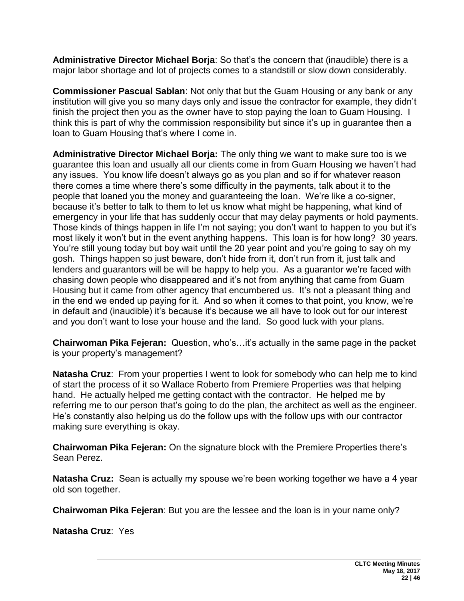**Administrative Director Michael Borja**: So that's the concern that (inaudible) there is a major labor shortage and lot of projects comes to a standstill or slow down considerably.

**Commissioner Pascual Sablan**: Not only that but the Guam Housing or any bank or any institution will give you so many days only and issue the contractor for example, they didn't finish the project then you as the owner have to stop paying the loan to Guam Housing. I think this is part of why the commission responsibility but since it's up in guarantee then a loan to Guam Housing that's where I come in.

**Administrative Director Michael Borja:** The only thing we want to make sure too is we guarantee this loan and usually all our clients come in from Guam Housing we haven't had any issues. You know life doesn't always go as you plan and so if for whatever reason there comes a time where there's some difficulty in the payments, talk about it to the people that loaned you the money and guaranteeing the loan. We're like a co-signer, because it's better to talk to them to let us know what might be happening, what kind of emergency in your life that has suddenly occur that may delay payments or hold payments. Those kinds of things happen in life I'm not saying; you don't want to happen to you but it's most likely it won't but in the event anything happens. This loan is for how long? 30 years. You're still young today but boy wait until the 20 year point and you're going to say oh my gosh. Things happen so just beware, don't hide from it, don't run from it, just talk and lenders and guarantors will be will be happy to help you. As a guarantor we're faced with chasing down people who disappeared and it's not from anything that came from Guam Housing but it came from other agency that encumbered us. It's not a pleasant thing and in the end we ended up paying for it. And so when it comes to that point, you know, we're in default and (inaudible) it's because it's because we all have to look out for our interest and you don't want to lose your house and the land. So good luck with your plans.

**Chairwoman Pika Fejeran:** Question, who's…it's actually in the same page in the packet is your property's management?

**Natasha Cruz**: From your properties I went to look for somebody who can help me to kind of start the process of it so Wallace Roberto from Premiere Properties was that helping hand. He actually helped me getting contact with the contractor. He helped me by referring me to our person that's going to do the plan, the architect as well as the engineer. He's constantly also helping us do the follow ups with the follow ups with our contractor making sure everything is okay.

**Chairwoman Pika Fejeran:** On the signature block with the Premiere Properties there's Sean Perez.

**Natasha Cruz:** Sean is actually my spouse we're been working together we have a 4 year old son together.

**Chairwoman Pika Fejeran**: But you are the lessee and the loan is in your name only?

**Natasha Cruz**: Yes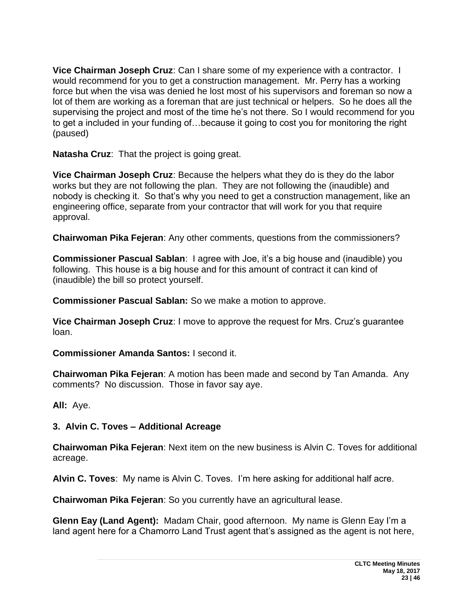**Vice Chairman Joseph Cruz**: Can I share some of my experience with a contractor. I would recommend for you to get a construction management. Mr. Perry has a working force but when the visa was denied he lost most of his supervisors and foreman so now a lot of them are working as a foreman that are just technical or helpers. So he does all the supervising the project and most of the time he's not there. So I would recommend for you to get a included in your funding of…because it going to cost you for monitoring the right (paused)

**Natasha Cruz**: That the project is going great.

**Vice Chairman Joseph Cruz**: Because the helpers what they do is they do the labor works but they are not following the plan. They are not following the (inaudible) and nobody is checking it. So that's why you need to get a construction management, like an engineering office, separate from your contractor that will work for you that require approval.

**Chairwoman Pika Fejeran**: Any other comments, questions from the commissioners?

**Commissioner Pascual Sablan**: I agree with Joe, it's a big house and (inaudible) you following. This house is a big house and for this amount of contract it can kind of (inaudible) the bill so protect yourself.

**Commissioner Pascual Sablan:** So we make a motion to approve.

**Vice Chairman Joseph Cruz**: I move to approve the request for Mrs. Cruz's guarantee loan.

**Commissioner Amanda Santos:** I second it.

**Chairwoman Pika Fejeran**: A motion has been made and second by Tan Amanda. Any comments? No discussion. Those in favor say aye.

**All:** Aye.

#### **3. Alvin C. Toves – Additional Acreage**

**Chairwoman Pika Fejeran**: Next item on the new business is Alvin C. Toves for additional acreage.

**Alvin C. Toves**: My name is Alvin C. Toves. I'm here asking for additional half acre.

**Chairwoman Pika Fejeran**: So you currently have an agricultural lease.

**Glenn Eay (Land Agent):** Madam Chair, good afternoon. My name is Glenn Eay I'm a land agent here for a Chamorro Land Trust agent that's assigned as the agent is not here,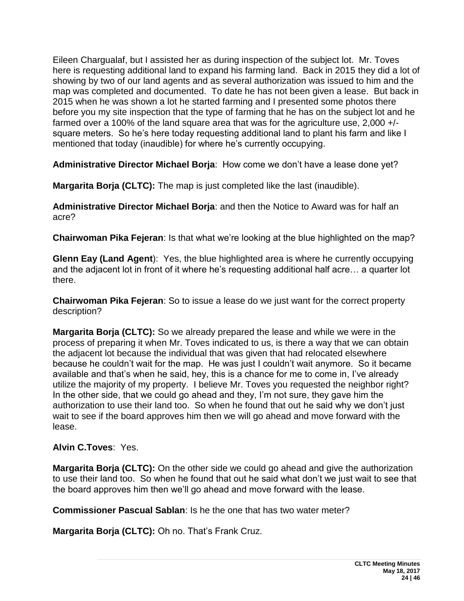Eileen Chargualaf, but I assisted her as during inspection of the subject lot. Mr. Toves here is requesting additional land to expand his farming land. Back in 2015 they did a lot of showing by two of our land agents and as several authorization was issued to him and the map was completed and documented. To date he has not been given a lease. But back in 2015 when he was shown a lot he started farming and I presented some photos there before you my site inspection that the type of farming that he has on the subject lot and he farmed over a 100% of the land square area that was for the agriculture use, 2,000 +/ square meters. So he's here today requesting additional land to plant his farm and like I mentioned that today (inaudible) for where he's currently occupying.

**Administrative Director Michael Borja**: How come we don't have a lease done yet?

**Margarita Borja (CLTC):** The map is just completed like the last (inaudible).

**Administrative Director Michael Borja**: and then the Notice to Award was for half an acre?

**Chairwoman Pika Fejeran**: Is that what we're looking at the blue highlighted on the map?

**Glenn Eay (Land Agent**): Yes, the blue highlighted area is where he currently occupying and the adjacent lot in front of it where he's requesting additional half acre… a quarter lot there.

**Chairwoman Pika Fejeran**: So to issue a lease do we just want for the correct property description?

**Margarita Borja (CLTC):** So we already prepared the lease and while we were in the process of preparing it when Mr. Toves indicated to us, is there a way that we can obtain the adjacent lot because the individual that was given that had relocated elsewhere because he couldn't wait for the map. He was just I couldn't wait anymore. So it became available and that's when he said, hey, this is a chance for me to come in, I've already utilize the majority of my property. I believe Mr. Toves you requested the neighbor right? In the other side, that we could go ahead and they, I'm not sure, they gave him the authorization to use their land too. So when he found that out he said why we don't just wait to see if the board approves him then we will go ahead and move forward with the lease.

### **Alvin C.Toves**: Yes.

**Margarita Borja (CLTC):** On the other side we could go ahead and give the authorization to use their land too. So when he found that out he said what don't we just wait to see that the board approves him then we'll go ahead and move forward with the lease.

**Commissioner Pascual Sablan**: Is he the one that has two water meter?

**Margarita Borja (CLTC):** Oh no. That's Frank Cruz.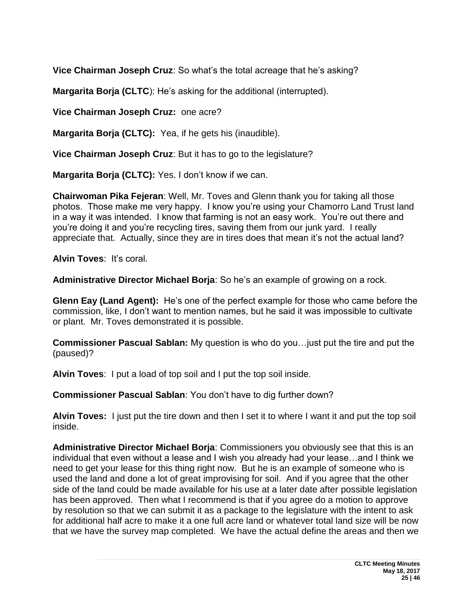**Vice Chairman Joseph Cruz**: So what's the total acreage that he's asking?

**Margarita Borja (CLTC**): He's asking for the additional (interrupted).

**Vice Chairman Joseph Cruz:** one acre?

**Margarita Borja (CLTC):** Yea, if he gets his (inaudible).

**Vice Chairman Joseph Cruz**: But it has to go to the legislature?

**Margarita Borja (CLTC):** Yes. I don't know if we can.

**Chairwoman Pika Fejeran**: Well, Mr. Toves and Glenn thank you for taking all those photos. Those make me very happy. I know you're using your Chamorro Land Trust land in a way it was intended. I know that farming is not an easy work. You're out there and you're doing it and you're recycling tires, saving them from our junk yard. I really appreciate that. Actually, since they are in tires does that mean it's not the actual land?

**Alvin Toves**: It's coral.

**Administrative Director Michael Borja**: So he's an example of growing on a rock.

**Glenn Eay (Land Agent):** He's one of the perfect example for those who came before the commission, like, I don't want to mention names, but he said it was impossible to cultivate or plant. Mr. Toves demonstrated it is possible.

**Commissioner Pascual Sablan:** My question is who do you…just put the tire and put the (paused)?

**Alvin Toves**: I put a load of top soil and I put the top soil inside.

**Commissioner Pascual Sablan**: You don't have to dig further down?

**Alvin Toves:** I just put the tire down and then I set it to where I want it and put the top soil inside.

**Administrative Director Michael Borja**: Commissioners you obviously see that this is an individual that even without a lease and I wish you already had your lease…and I think we need to get your lease for this thing right now. But he is an example of someone who is used the land and done a lot of great improvising for soil. And if you agree that the other side of the land could be made available for his use at a later date after possible legislation has been approved. Then what I recommend is that if you agree do a motion to approve by resolution so that we can submit it as a package to the legislature with the intent to ask for additional half acre to make it a one full acre land or whatever total land size will be now that we have the survey map completed. We have the actual define the areas and then we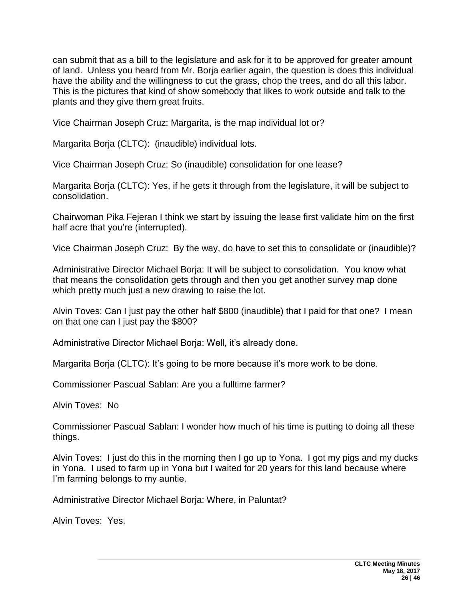can submit that as a bill to the legislature and ask for it to be approved for greater amount of land. Unless you heard from Mr. Borja earlier again, the question is does this individual have the ability and the willingness to cut the grass, chop the trees, and do all this labor. This is the pictures that kind of show somebody that likes to work outside and talk to the plants and they give them great fruits.

Vice Chairman Joseph Cruz: Margarita, is the map individual lot or?

Margarita Borja (CLTC): (inaudible) individual lots.

Vice Chairman Joseph Cruz: So (inaudible) consolidation for one lease?

Margarita Borja (CLTC): Yes, if he gets it through from the legislature, it will be subject to consolidation.

Chairwoman Pika Fejeran I think we start by issuing the lease first validate him on the first half acre that you're (interrupted).

Vice Chairman Joseph Cruz: By the way, do have to set this to consolidate or (inaudible)?

Administrative Director Michael Borja: It will be subject to consolidation. You know what that means the consolidation gets through and then you get another survey map done which pretty much just a new drawing to raise the lot.

Alvin Toves: Can I just pay the other half \$800 (inaudible) that I paid for that one? I mean on that one can I just pay the \$800?

Administrative Director Michael Borja: Well, it's already done.

Margarita Borja (CLTC): It's going to be more because it's more work to be done.

Commissioner Pascual Sablan: Are you a fulltime farmer?

Alvin Toves: No

Commissioner Pascual Sablan: I wonder how much of his time is putting to doing all these things.

Alvin Toves: I just do this in the morning then I go up to Yona. I got my pigs and my ducks in Yona. I used to farm up in Yona but I waited for 20 years for this land because where I'm farming belongs to my auntie.

Administrative Director Michael Borja: Where, in Paluntat?

Alvin Toves: Yes.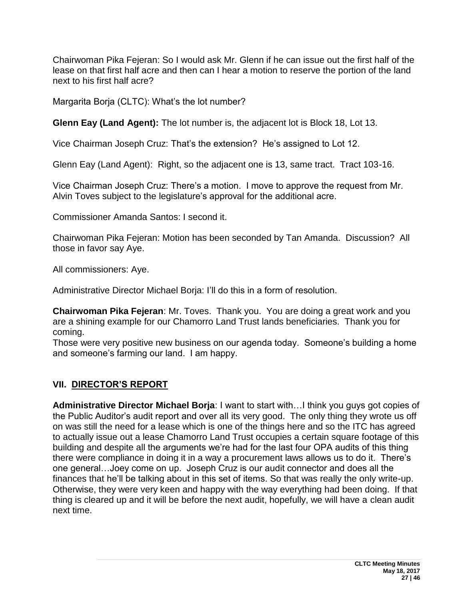Chairwoman Pika Fejeran: So I would ask Mr. Glenn if he can issue out the first half of the lease on that first half acre and then can I hear a motion to reserve the portion of the land next to his first half acre?

Margarita Borja (CLTC): What's the lot number?

**Glenn Eay (Land Agent):** The lot number is, the adjacent lot is Block 18, Lot 13.

Vice Chairman Joseph Cruz: That's the extension? He's assigned to Lot 12.

Glenn Eay (Land Agent): Right, so the adjacent one is 13, same tract. Tract 103-16.

Vice Chairman Joseph Cruz: There's a motion. I move to approve the request from Mr. Alvin Toves subject to the legislature's approval for the additional acre.

Commissioner Amanda Santos: I second it.

Chairwoman Pika Fejeran: Motion has been seconded by Tan Amanda. Discussion? All those in favor say Aye.

All commissioners: Aye.

Administrative Director Michael Borja: I'll do this in a form of resolution.

**Chairwoman Pika Fejeran**: Mr. Toves. Thank you. You are doing a great work and you are a shining example for our Chamorro Land Trust lands beneficiaries. Thank you for coming.

Those were very positive new business on our agenda today. Someone's building a home and someone's farming our land. I am happy.

## **VII. DIRECTOR'S REPORT**

**Administrative Director Michael Borja**: I want to start with…I think you guys got copies of the Public Auditor's audit report and over all its very good. The only thing they wrote us off on was still the need for a lease which is one of the things here and so the ITC has agreed to actually issue out a lease Chamorro Land Trust occupies a certain square footage of this building and despite all the arguments we're had for the last four OPA audits of this thing there were compliance in doing it in a way a procurement laws allows us to do it. There's one general…Joey come on up. Joseph Cruz is our audit connector and does all the finances that he'll be talking about in this set of items. So that was really the only write-up. Otherwise, they were very keen and happy with the way everything had been doing. If that thing is cleared up and it will be before the next audit, hopefully, we will have a clean audit next time.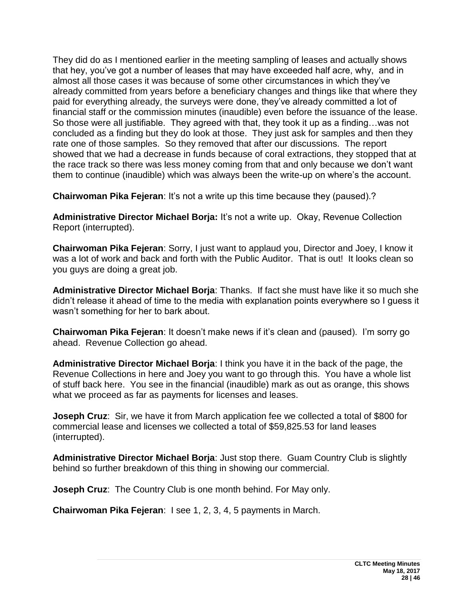They did do as I mentioned earlier in the meeting sampling of leases and actually shows that hey, you've got a number of leases that may have exceeded half acre, why, and in almost all those cases it was because of some other circumstances in which they've already committed from years before a beneficiary changes and things like that where they paid for everything already, the surveys were done, they've already committed a lot of financial staff or the commission minutes (inaudible) even before the issuance of the lease. So those were all justifiable. They agreed with that, they took it up as a finding…was not concluded as a finding but they do look at those. They just ask for samples and then they rate one of those samples. So they removed that after our discussions. The report showed that we had a decrease in funds because of coral extractions, they stopped that at the race track so there was less money coming from that and only because we don't want them to continue (inaudible) which was always been the write-up on where's the account.

**Chairwoman Pika Fejeran: It's not a write up this time because they (paused).?** 

**Administrative Director Michael Borja:** It's not a write up. Okay, Revenue Collection Report (interrupted).

**Chairwoman Pika Fejeran**: Sorry, I just want to applaud you, Director and Joey, I know it was a lot of work and back and forth with the Public Auditor. That is out! It looks clean so you guys are doing a great job.

**Administrative Director Michael Borja**: Thanks. If fact she must have like it so much she didn't release it ahead of time to the media with explanation points everywhere so I guess it wasn't something for her to bark about.

**Chairwoman Pika Fejeran**: It doesn't make news if it's clean and (paused). I'm sorry go ahead. Revenue Collection go ahead.

**Administrative Director Michael Borja**: I think you have it in the back of the page, the Revenue Collections in here and Joey you want to go through this. You have a whole list of stuff back here. You see in the financial (inaudible) mark as out as orange, this shows what we proceed as far as payments for licenses and leases.

**Joseph Cruz**: Sir, we have it from March application fee we collected a total of \$800 for commercial lease and licenses we collected a total of \$59,825.53 for land leases (interrupted).

**Administrative Director Michael Borja**: Just stop there. Guam Country Club is slightly behind so further breakdown of this thing in showing our commercial.

**Joseph Cruz**: The Country Club is one month behind. For May only.

**Chairwoman Pika Fejeran**: I see 1, 2, 3, 4, 5 payments in March.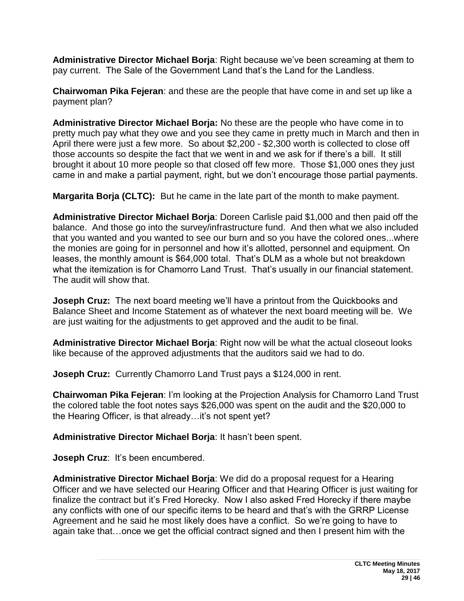**Administrative Director Michael Borja**: Right because we've been screaming at them to pay current. The Sale of the Government Land that's the Land for the Landless.

**Chairwoman Pika Fejeran**: and these are the people that have come in and set up like a payment plan?

**Administrative Director Michael Borja:** No these are the people who have come in to pretty much pay what they owe and you see they came in pretty much in March and then in April there were just a few more. So about \$2,200 - \$2,300 worth is collected to close off those accounts so despite the fact that we went in and we ask for if there's a bill. It still brought it about 10 more people so that closed off few more. Those \$1,000 ones they just came in and make a partial payment, right, but we don't encourage those partial payments.

**Margarita Borja (CLTC):** But he came in the late part of the month to make payment.

**Administrative Director Michael Borja**: Doreen Carlisle paid \$1,000 and then paid off the balance. And those go into the survey/infrastructure fund. And then what we also included that you wanted and you wanted to see our burn and so you have the colored ones...where the monies are going for in personnel and how it's allotted, personnel and equipment. On leases, the monthly amount is \$64,000 total. That's DLM as a whole but not breakdown what the itemization is for Chamorro Land Trust. That's usually in our financial statement. The audit will show that.

**Joseph Cruz:** The next board meeting we'll have a printout from the Quickbooks and Balance Sheet and Income Statement as of whatever the next board meeting will be. We are just waiting for the adjustments to get approved and the audit to be final.

**Administrative Director Michael Borja**: Right now will be what the actual closeout looks like because of the approved adjustments that the auditors said we had to do.

**Joseph Cruz:** Currently Chamorro Land Trust pays a \$124,000 in rent.

**Chairwoman Pika Fejeran**: I'm looking at the Projection Analysis for Chamorro Land Trust the colored table the foot notes says \$26,000 was spent on the audit and the \$20,000 to the Hearing Officer, is that already…it's not spent yet?

**Administrative Director Michael Borja**: It hasn't been spent.

**Joseph Cruz**: It's been encumbered.

**Administrative Director Michael Borja**: We did do a proposal request for a Hearing Officer and we have selected our Hearing Officer and that Hearing Officer is just waiting for finalize the contract but it's Fred Horecky. Now I also asked Fred Horecky if there maybe any conflicts with one of our specific items to be heard and that's with the GRRP License Agreement and he said he most likely does have a conflict. So we're going to have to again take that…once we get the official contract signed and then I present him with the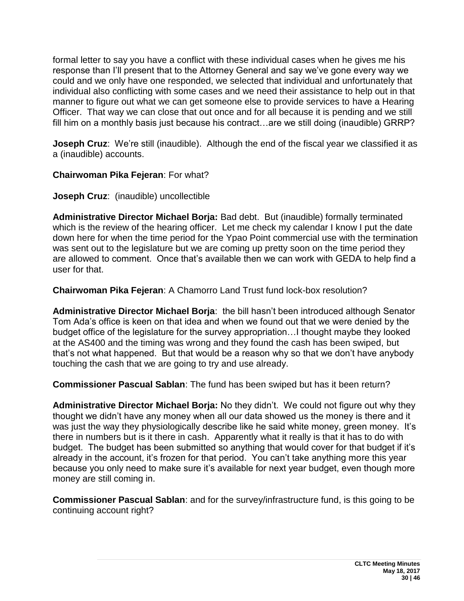formal letter to say you have a conflict with these individual cases when he gives me his response than I'll present that to the Attorney General and say we've gone every way we could and we only have one responded, we selected that individual and unfortunately that individual also conflicting with some cases and we need their assistance to help out in that manner to figure out what we can get someone else to provide services to have a Hearing Officer. That way we can close that out once and for all because it is pending and we still fill him on a monthly basis just because his contract…are we still doing (inaudible) GRRP?

**Joseph Cruz**: We're still (inaudible). Although the end of the fiscal year we classified it as a (inaudible) accounts.

#### **Chairwoman Pika Fejeran**: For what?

**Joseph Cruz**: (inaudible) uncollectible

**Administrative Director Michael Borja:** Bad debt. But (inaudible) formally terminated which is the review of the hearing officer. Let me check my calendar I know I put the date down here for when the time period for the Ypao Point commercial use with the termination was sent out to the legislature but we are coming up pretty soon on the time period they are allowed to comment. Once that's available then we can work with GEDA to help find a user for that.

**Chairwoman Pika Fejeran**: A Chamorro Land Trust fund lock-box resolution?

**Administrative Director Michael Borja**: the bill hasn't been introduced although Senator Tom Ada's office is keen on that idea and when we found out that we were denied by the budget office of the legislature for the survey appropriation…I thought maybe they looked at the AS400 and the timing was wrong and they found the cash has been swiped, but that's not what happened. But that would be a reason why so that we don't have anybody touching the cash that we are going to try and use already.

**Commissioner Pascual Sablan**: The fund has been swiped but has it been return?

**Administrative Director Michael Borja:** No they didn't. We could not figure out why they thought we didn't have any money when all our data showed us the money is there and it was just the way they physiologically describe like he said white money, green money. It's there in numbers but is it there in cash. Apparently what it really is that it has to do with budget. The budget has been submitted so anything that would cover for that budget if it's already in the account, it's frozen for that period. You can't take anything more this year because you only need to make sure it's available for next year budget, even though more money are still coming in.

**Commissioner Pascual Sablan**: and for the survey/infrastructure fund, is this going to be continuing account right?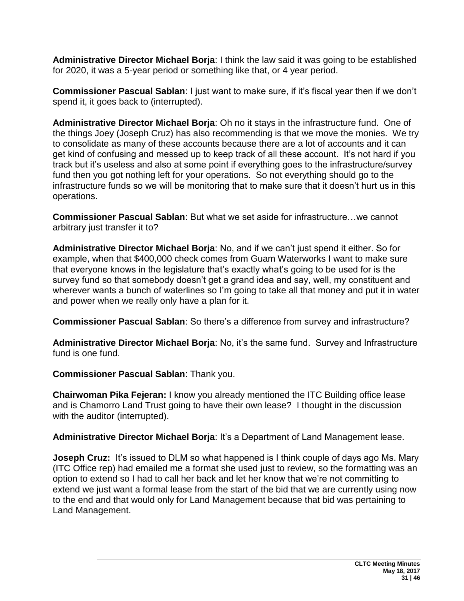**Administrative Director Michael Borja**: I think the law said it was going to be established for 2020, it was a 5-year period or something like that, or 4 year period.

**Commissioner Pascual Sablan**: I just want to make sure, if it's fiscal year then if we don't spend it, it goes back to (interrupted).

**Administrative Director Michael Borja**: Oh no it stays in the infrastructure fund. One of the things Joey (Joseph Cruz) has also recommending is that we move the monies. We try to consolidate as many of these accounts because there are a lot of accounts and it can get kind of confusing and messed up to keep track of all these account. It's not hard if you track but it's useless and also at some point if everything goes to the infrastructure/survey fund then you got nothing left for your operations. So not everything should go to the infrastructure funds so we will be monitoring that to make sure that it doesn't hurt us in this operations.

**Commissioner Pascual Sablan**: But what we set aside for infrastructure…we cannot arbitrary just transfer it to?

**Administrative Director Michael Borja**: No, and if we can't just spend it either. So for example, when that \$400,000 check comes from Guam Waterworks I want to make sure that everyone knows in the legislature that's exactly what's going to be used for is the survey fund so that somebody doesn't get a grand idea and say, well, my constituent and wherever wants a bunch of waterlines so I'm going to take all that money and put it in water and power when we really only have a plan for it.

**Commissioner Pascual Sablan**: So there's a difference from survey and infrastructure?

**Administrative Director Michael Borja**: No, it's the same fund. Survey and Infrastructure fund is one fund.

**Commissioner Pascual Sablan**: Thank you.

**Chairwoman Pika Fejeran:** I know you already mentioned the ITC Building office lease and is Chamorro Land Trust going to have their own lease? I thought in the discussion with the auditor (interrupted).

**Administrative Director Michael Borja**: It's a Department of Land Management lease.

**Joseph Cruz:** It's issued to DLM so what happened is I think couple of days ago Ms. Mary (ITC Office rep) had emailed me a format she used just to review, so the formatting was an option to extend so I had to call her back and let her know that we're not committing to extend we just want a formal lease from the start of the bid that we are currently using now to the end and that would only for Land Management because that bid was pertaining to Land Management.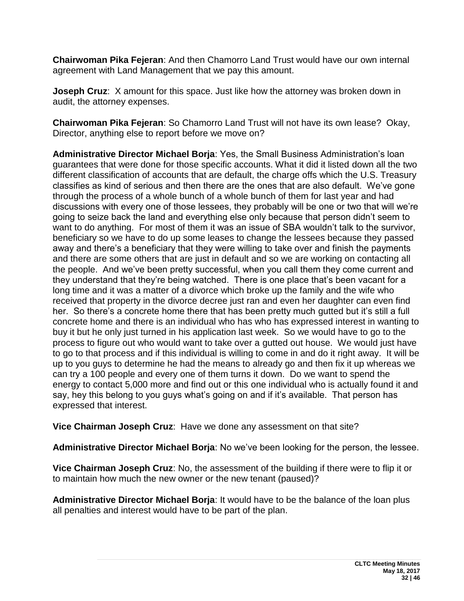**Chairwoman Pika Fejeran**: And then Chamorro Land Trust would have our own internal agreement with Land Management that we pay this amount.

**Joseph Cruz**: X amount for this space. Just like how the attorney was broken down in audit, the attorney expenses.

**Chairwoman Pika Fejeran**: So Chamorro Land Trust will not have its own lease? Okay, Director, anything else to report before we move on?

**Administrative Director Michael Borja**: Yes, the Small Business Administration's loan guarantees that were done for those specific accounts. What it did it listed down all the two different classification of accounts that are default, the charge offs which the U.S. Treasury classifies as kind of serious and then there are the ones that are also default. We've gone through the process of a whole bunch of a whole bunch of them for last year and had discussions with every one of those lessees, they probably will be one or two that will we're going to seize back the land and everything else only because that person didn't seem to want to do anything. For most of them it was an issue of SBA wouldn't talk to the survivor, beneficiary so we have to do up some leases to change the lessees because they passed away and there's a beneficiary that they were willing to take over and finish the payments and there are some others that are just in default and so we are working on contacting all the people. And we've been pretty successful, when you call them they come current and they understand that they're being watched. There is one place that's been vacant for a long time and it was a matter of a divorce which broke up the family and the wife who received that property in the divorce decree just ran and even her daughter can even find her. So there's a concrete home there that has been pretty much gutted but it's still a full concrete home and there is an individual who has who has expressed interest in wanting to buy it but he only just turned in his application last week. So we would have to go to the process to figure out who would want to take over a gutted out house. We would just have to go to that process and if this individual is willing to come in and do it right away. It will be up to you guys to determine he had the means to already go and then fix it up whereas we can try a 100 people and every one of them turns it down. Do we want to spend the energy to contact 5,000 more and find out or this one individual who is actually found it and say, hey this belong to you guys what's going on and if it's available. That person has expressed that interest.

**Vice Chairman Joseph Cruz**: Have we done any assessment on that site?

**Administrative Director Michael Borja**: No we've been looking for the person, the lessee.

**Vice Chairman Joseph Cruz**: No, the assessment of the building if there were to flip it or to maintain how much the new owner or the new tenant (paused)?

**Administrative Director Michael Borja**: It would have to be the balance of the loan plus all penalties and interest would have to be part of the plan.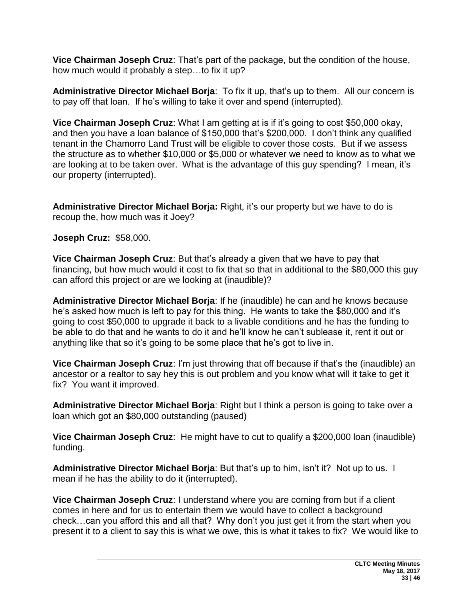**Vice Chairman Joseph Cruz**: That's part of the package, but the condition of the house, how much would it probably a step…to fix it up?

**Administrative Director Michael Borja**: To fix it up, that's up to them. All our concern is to pay off that loan. If he's willing to take it over and spend (interrupted).

**Vice Chairman Joseph Cruz**: What I am getting at is if it's going to cost \$50,000 okay, and then you have a loan balance of \$150,000 that's \$200,000. I don't think any qualified tenant in the Chamorro Land Trust will be eligible to cover those costs. But if we assess the structure as to whether \$10,000 or \$5,000 or whatever we need to know as to what we are looking at to be taken over. What is the advantage of this guy spending? I mean, it's our property (interrupted).

**Administrative Director Michael Borja:** Right, it's our property but we have to do is recoup the, how much was it Joey?

**Joseph Cruz:** \$58,000.

**Vice Chairman Joseph Cruz**: But that's already a given that we have to pay that financing, but how much would it cost to fix that so that in additional to the \$80,000 this guy can afford this project or are we looking at (inaudible)?

**Administrative Director Michael Borja**: If he (inaudible) he can and he knows because he's asked how much is left to pay for this thing. He wants to take the \$80,000 and it's going to cost \$50,000 to upgrade it back to a livable conditions and he has the funding to be able to do that and he wants to do it and he'll know he can't sublease it, rent it out or anything like that so it's going to be some place that he's got to live in.

**Vice Chairman Joseph Cruz**: I'm just throwing that off because if that's the (inaudible) an ancestor or a realtor to say hey this is out problem and you know what will it take to get it fix? You want it improved.

**Administrative Director Michael Borja**: Right but I think a person is going to take over a loan which got an \$80,000 outstanding (paused)

**Vice Chairman Joseph Cruz**: He might have to cut to qualify a \$200,000 loan (inaudible) funding.

**Administrative Director Michael Borja**: But that's up to him, isn't it? Not up to us. I mean if he has the ability to do it (interrupted).

**Vice Chairman Joseph Cruz**: I understand where you are coming from but if a client comes in here and for us to entertain them we would have to collect a background check…can you afford this and all that? Why don't you just get it from the start when you present it to a client to say this is what we owe, this is what it takes to fix? We would like to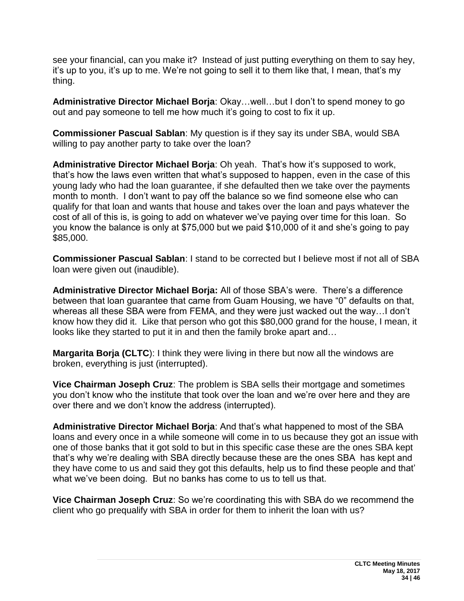see your financial, can you make it? Instead of just putting everything on them to say hey, it's up to you, it's up to me. We're not going to sell it to them like that, I mean, that's my thing.

**Administrative Director Michael Borja**: Okay…well…but I don't to spend money to go out and pay someone to tell me how much it's going to cost to fix it up.

**Commissioner Pascual Sablan**: My question is if they say its under SBA, would SBA willing to pay another party to take over the loan?

**Administrative Director Michael Borja**: Oh yeah. That's how it's supposed to work, that's how the laws even written that what's supposed to happen, even in the case of this young lady who had the loan guarantee, if she defaulted then we take over the payments month to month. I don't want to pay off the balance so we find someone else who can qualify for that loan and wants that house and takes over the loan and pays whatever the cost of all of this is, is going to add on whatever we've paying over time for this loan. So you know the balance is only at \$75,000 but we paid \$10,000 of it and she's going to pay \$85,000.

**Commissioner Pascual Sablan**: I stand to be corrected but I believe most if not all of SBA loan were given out (inaudible).

**Administrative Director Michael Borja:** All of those SBA's were. There's a difference between that loan guarantee that came from Guam Housing, we have "0" defaults on that, whereas all these SBA were from FEMA, and they were just wacked out the way…I don't know how they did it. Like that person who got this \$80,000 grand for the house, I mean, it looks like they started to put it in and then the family broke apart and…

**Margarita Borja (CLTC**): I think they were living in there but now all the windows are broken, everything is just (interrupted).

**Vice Chairman Joseph Cruz**: The problem is SBA sells their mortgage and sometimes you don't know who the institute that took over the loan and we're over here and they are over there and we don't know the address (interrupted).

**Administrative Director Michael Borja**: And that's what happened to most of the SBA loans and every once in a while someone will come in to us because they got an issue with one of those banks that it got sold to but in this specific case these are the ones SBA kept that's why we're dealing with SBA directly because these are the ones SBA has kept and they have come to us and said they got this defaults, help us to find these people and that' what we've been doing. But no banks has come to us to tell us that.

**Vice Chairman Joseph Cruz**: So we're coordinating this with SBA do we recommend the client who go prequalify with SBA in order for them to inherit the loan with us?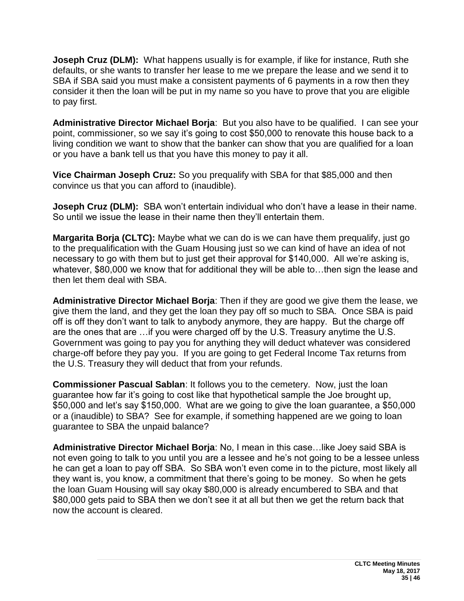**Joseph Cruz (DLM):** What happens usually is for example, if like for instance, Ruth she defaults, or she wants to transfer her lease to me we prepare the lease and we send it to SBA if SBA said you must make a consistent payments of 6 payments in a row then they consider it then the loan will be put in my name so you have to prove that you are eligible to pay first.

**Administrative Director Michael Borja**: But you also have to be qualified. I can see your point, commissioner, so we say it's going to cost \$50,000 to renovate this house back to a living condition we want to show that the banker can show that you are qualified for a loan or you have a bank tell us that you have this money to pay it all.

**Vice Chairman Joseph Cruz:** So you prequalify with SBA for that \$85,000 and then convince us that you can afford to (inaudible).

**Joseph Cruz (DLM):** SBA won't entertain individual who don't have a lease in their name. So until we issue the lease in their name then they'll entertain them.

**Margarita Borja (CLTC):** Maybe what we can do is we can have them prequalify, just go to the prequalification with the Guam Housing just so we can kind of have an idea of not necessary to go with them but to just get their approval for \$140,000. All we're asking is, whatever, \$80,000 we know that for additional they will be able to…then sign the lease and then let them deal with SBA.

**Administrative Director Michael Borja**: Then if they are good we give them the lease, we give them the land, and they get the loan they pay off so much to SBA. Once SBA is paid off is off they don't want to talk to anybody anymore, they are happy. But the charge off are the ones that are …if you were charged off by the U.S. Treasury anytime the U.S. Government was going to pay you for anything they will deduct whatever was considered charge-off before they pay you. If you are going to get Federal Income Tax returns from the U.S. Treasury they will deduct that from your refunds.

**Commissioner Pascual Sablan**: It follows you to the cemetery. Now, just the loan guarantee how far it's going to cost like that hypothetical sample the Joe brought up, \$50,000 and let's say \$150,000. What are we going to give the loan guarantee, a \$50,000 or a (inaudible) to SBA? See for example, if something happened are we going to loan guarantee to SBA the unpaid balance?

**Administrative Director Michael Borja**: No, I mean in this case…like Joey said SBA is not even going to talk to you until you are a lessee and he's not going to be a lessee unless he can get a loan to pay off SBA. So SBA won't even come in to the picture, most likely all they want is, you know, a commitment that there's going to be money. So when he gets the loan Guam Housing will say okay \$80,000 is already encumbered to SBA and that \$80,000 gets paid to SBA then we don't see it at all but then we get the return back that now the account is cleared.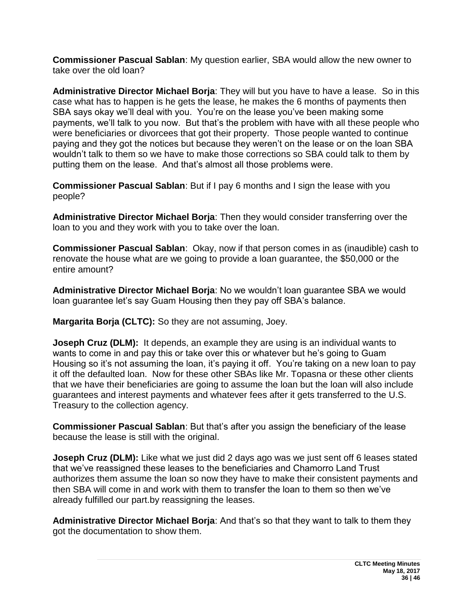**Commissioner Pascual Sablan**: My question earlier, SBA would allow the new owner to take over the old loan?

**Administrative Director Michael Borja**: They will but you have to have a lease. So in this case what has to happen is he gets the lease, he makes the 6 months of payments then SBA says okay we'll deal with you. You're on the lease you've been making some payments, we'll talk to you now. But that's the problem with have with all these people who were beneficiaries or divorcees that got their property. Those people wanted to continue paying and they got the notices but because they weren't on the lease or on the loan SBA wouldn't talk to them so we have to make those corrections so SBA could talk to them by putting them on the lease. And that's almost all those problems were.

**Commissioner Pascual Sablan**: But if I pay 6 months and I sign the lease with you people?

**Administrative Director Michael Borja**: Then they would consider transferring over the loan to you and they work with you to take over the loan.

**Commissioner Pascual Sablan**: Okay, now if that person comes in as (inaudible) cash to renovate the house what are we going to provide a loan guarantee, the \$50,000 or the entire amount?

**Administrative Director Michael Borja**: No we wouldn't loan guarantee SBA we would loan guarantee let's say Guam Housing then they pay off SBA's balance.

**Margarita Borja (CLTC):** So they are not assuming, Joey.

**Joseph Cruz (DLM):** It depends, an example they are using is an individual wants to wants to come in and pay this or take over this or whatever but he's going to Guam Housing so it's not assuming the loan, it's paying it off. You're taking on a new loan to pay it off the defaulted loan. Now for these other SBAs like Mr. Topasna or these other clients that we have their beneficiaries are going to assume the loan but the loan will also include guarantees and interest payments and whatever fees after it gets transferred to the U.S. Treasury to the collection agency.

**Commissioner Pascual Sablan**: But that's after you assign the beneficiary of the lease because the lease is still with the original.

**Joseph Cruz (DLM):** Like what we just did 2 days ago was we just sent off 6 leases stated that we've reassigned these leases to the beneficiaries and Chamorro Land Trust authorizes them assume the loan so now they have to make their consistent payments and then SBA will come in and work with them to transfer the loan to them so then we've already fulfilled our part.by reassigning the leases.

**Administrative Director Michael Borja**: And that's so that they want to talk to them they got the documentation to show them.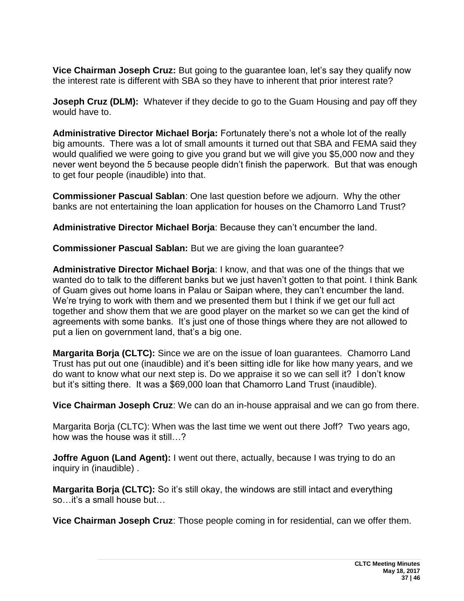**Vice Chairman Joseph Cruz:** But going to the guarantee loan, let's say they qualify now the interest rate is different with SBA so they have to inherent that prior interest rate?

**Joseph Cruz (DLM):** Whatever if they decide to go to the Guam Housing and pay off they would have to.

**Administrative Director Michael Borja:** Fortunately there's not a whole lot of the really big amounts. There was a lot of small amounts it turned out that SBA and FEMA said they would qualified we were going to give you grand but we will give you \$5,000 now and they never went beyond the 5 because people didn't finish the paperwork. But that was enough to get four people (inaudible) into that.

**Commissioner Pascual Sablan**: One last question before we adjourn. Why the other banks are not entertaining the loan application for houses on the Chamorro Land Trust?

**Administrative Director Michael Borja**: Because they can't encumber the land.

**Commissioner Pascual Sablan:** But we are giving the loan guarantee?

**Administrative Director Michael Borja**: I know, and that was one of the things that we wanted do to talk to the different banks but we just haven't gotten to that point. I think Bank of Guam gives out home loans in Palau or Saipan where, they can't encumber the land. We're trying to work with them and we presented them but I think if we get our full act together and show them that we are good player on the market so we can get the kind of agreements with some banks. It's just one of those things where they are not allowed to put a lien on government land, that's a big one.

**Margarita Borja (CLTC):** Since we are on the issue of loan guarantees. Chamorro Land Trust has put out one (inaudible) and it's been sitting idle for like how many years, and we do want to know what our next step is. Do we appraise it so we can sell it? I don't know but it's sitting there. It was a \$69,000 loan that Chamorro Land Trust (inaudible).

**Vice Chairman Joseph Cruz**: We can do an in-house appraisal and we can go from there.

Margarita Borja (CLTC): When was the last time we went out there Joff? Two years ago, how was the house was it still…?

**Joffre Aguon (Land Agent):** I went out there, actually, because I was trying to do an inquiry in (inaudible) .

**Margarita Borja (CLTC):** So it's still okay, the windows are still intact and everything so…it's a small house but…

**Vice Chairman Joseph Cruz**: Those people coming in for residential, can we offer them.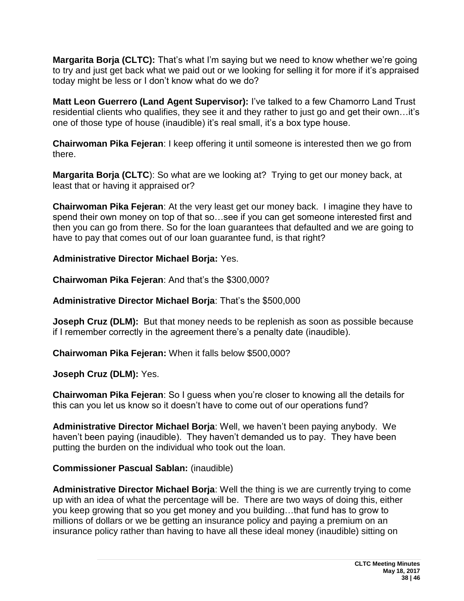**Margarita Borja (CLTC):** That's what I'm saying but we need to know whether we're going to try and just get back what we paid out or we looking for selling it for more if it's appraised today might be less or I don't know what do we do?

**Matt Leon Guerrero (Land Agent Supervisor):** I've talked to a few Chamorro Land Trust residential clients who qualifies, they see it and they rather to just go and get their own…it's one of those type of house (inaudible) it's real small, it's a box type house.

**Chairwoman Pika Fejeran**: I keep offering it until someone is interested then we go from there.

**Margarita Borja (CLTC**): So what are we looking at? Trying to get our money back, at least that or having it appraised or?

**Chairwoman Pika Fejeran**: At the very least get our money back. I imagine they have to spend their own money on top of that so…see if you can get someone interested first and then you can go from there. So for the loan guarantees that defaulted and we are going to have to pay that comes out of our loan guarantee fund, is that right?

**Administrative Director Michael Borja:** Yes.

**Chairwoman Pika Fejeran**: And that's the \$300,000?

**Administrative Director Michael Borja**: That's the \$500,000

**Joseph Cruz (DLM):** But that money needs to be replenish as soon as possible because if I remember correctly in the agreement there's a penalty date (inaudible).

**Chairwoman Pika Fejeran:** When it falls below \$500,000?

**Joseph Cruz (DLM):** Yes.

**Chairwoman Pika Fejeran**: So I guess when you're closer to knowing all the details for this can you let us know so it doesn't have to come out of our operations fund?

**Administrative Director Michael Borja**: Well, we haven't been paying anybody. We haven't been paying (inaudible). They haven't demanded us to pay. They have been putting the burden on the individual who took out the loan.

#### **Commissioner Pascual Sablan:** (inaudible)

**Administrative Director Michael Borja**: Well the thing is we are currently trying to come up with an idea of what the percentage will be. There are two ways of doing this, either you keep growing that so you get money and you building…that fund has to grow to millions of dollars or we be getting an insurance policy and paying a premium on an insurance policy rather than having to have all these ideal money (inaudible) sitting on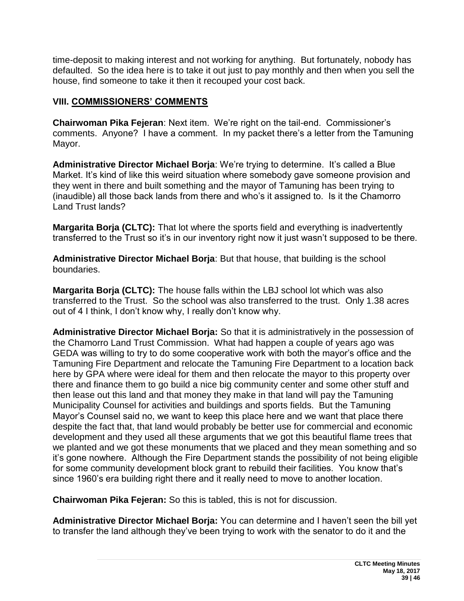time-deposit to making interest and not working for anything. But fortunately, nobody has defaulted. So the idea here is to take it out just to pay monthly and then when you sell the house, find someone to take it then it recouped your cost back.

### **VIII. COMMISSIONERS' COMMENTS**

**Chairwoman Pika Fejeran**: Next item. We're right on the tail-end. Commissioner's comments. Anyone? I have a comment. In my packet there's a letter from the Tamuning Mayor.

**Administrative Director Michael Borja**: We're trying to determine. It's called a Blue Market. It's kind of like this weird situation where somebody gave someone provision and they went in there and built something and the mayor of Tamuning has been trying to (inaudible) all those back lands from there and who's it assigned to. Is it the Chamorro Land Trust lands?

**Margarita Borja (CLTC):** That lot where the sports field and everything is inadvertently transferred to the Trust so it's in our inventory right now it just wasn't supposed to be there.

**Administrative Director Michael Borja**: But that house, that building is the school boundaries.

**Margarita Borja (CLTC):** The house falls within the LBJ school lot which was also transferred to the Trust. So the school was also transferred to the trust. Only 1.38 acres out of 4 I think, I don't know why, I really don't know why.

**Administrative Director Michael Borja:** So that it is administratively in the possession of the Chamorro Land Trust Commission. What had happen a couple of years ago was GEDA was willing to try to do some cooperative work with both the mayor's office and the Tamuning Fire Department and relocate the Tamuning Fire Department to a location back here by GPA where were ideal for them and then relocate the mayor to this property over there and finance them to go build a nice big community center and some other stuff and then lease out this land and that money they make in that land will pay the Tamuning Municipality Counsel for activities and buildings and sports fields. But the Tamuning Mayor's Counsel said no, we want to keep this place here and we want that place there despite the fact that, that land would probably be better use for commercial and economic development and they used all these arguments that we got this beautiful flame trees that we planted and we got these monuments that we placed and they mean something and so it's gone nowhere. Although the Fire Department stands the possibility of not being eligible for some community development block grant to rebuild their facilities. You know that's since 1960's era building right there and it really need to move to another location.

**Chairwoman Pika Fejeran:** So this is tabled, this is not for discussion.

**Administrative Director Michael Borja:** You can determine and I haven't seen the bill yet to transfer the land although they've been trying to work with the senator to do it and the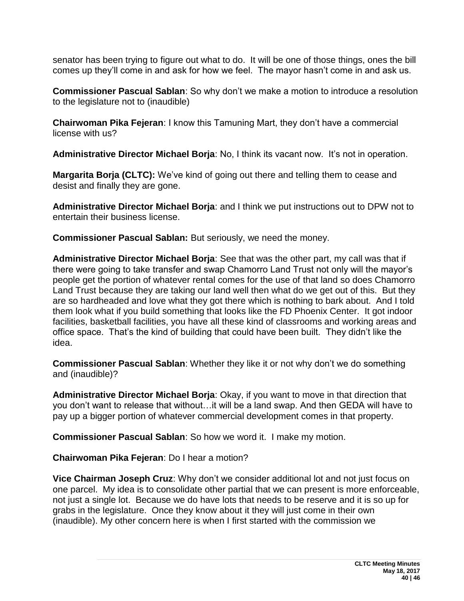senator has been trying to figure out what to do. It will be one of those things, ones the bill comes up they'll come in and ask for how we feel. The mayor hasn't come in and ask us.

**Commissioner Pascual Sablan**: So why don't we make a motion to introduce a resolution to the legislature not to (inaudible)

**Chairwoman Pika Fejeran**: I know this Tamuning Mart, they don't have a commercial license with us?

**Administrative Director Michael Borja**: No, I think its vacant now. It's not in operation.

**Margarita Borja (CLTC):** We've kind of going out there and telling them to cease and desist and finally they are gone.

**Administrative Director Michael Borja**: and I think we put instructions out to DPW not to entertain their business license.

**Commissioner Pascual Sablan:** But seriously, we need the money.

**Administrative Director Michael Borja**: See that was the other part, my call was that if there were going to take transfer and swap Chamorro Land Trust not only will the mayor's people get the portion of whatever rental comes for the use of that land so does Chamorro Land Trust because they are taking our land well then what do we get out of this. But they are so hardheaded and love what they got there which is nothing to bark about. And I told them look what if you build something that looks like the FD Phoenix Center. It got indoor facilities, basketball facilities, you have all these kind of classrooms and working areas and office space. That's the kind of building that could have been built. They didn't like the idea.

**Commissioner Pascual Sablan**: Whether they like it or not why don't we do something and (inaudible)?

**Administrative Director Michael Borja**: Okay, if you want to move in that direction that you don't want to release that without…it will be a land swap. And then GEDA will have to pay up a bigger portion of whatever commercial development comes in that property.

**Commissioner Pascual Sablan**: So how we word it. I make my motion.

**Chairwoman Pika Fejeran**: Do I hear a motion?

**Vice Chairman Joseph Cruz**: Why don't we consider additional lot and not just focus on one parcel. My idea is to consolidate other partial that we can present is more enforceable, not just a single lot. Because we do have lots that needs to be reserve and it is so up for grabs in the legislature. Once they know about it they will just come in their own (inaudible). My other concern here is when I first started with the commission we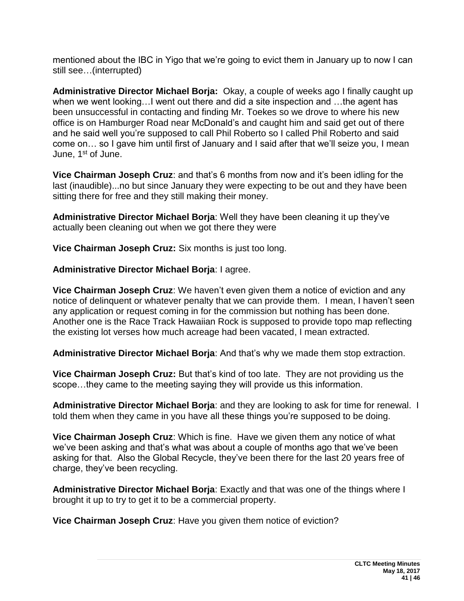mentioned about the IBC in Yigo that we're going to evict them in January up to now I can still see…(interrupted)

**Administrative Director Michael Borja:** Okay, a couple of weeks ago I finally caught up when we went looking…I went out there and did a site inspection and …the agent has been unsuccessful in contacting and finding Mr. Toekes so we drove to where his new office is on Hamburger Road near McDonald's and caught him and said get out of there and he said well you're supposed to call Phil Roberto so I called Phil Roberto and said come on… so I gave him until first of January and I said after that we'll seize you, I mean June, 1<sup>st</sup> of June.

**Vice Chairman Joseph Cruz**: and that's 6 months from now and it's been idling for the last (inaudible)...no but since January they were expecting to be out and they have been sitting there for free and they still making their money.

**Administrative Director Michael Borja**: Well they have been cleaning it up they've actually been cleaning out when we got there they were

**Vice Chairman Joseph Cruz:** Six months is just too long.

**Administrative Director Michael Borja**: I agree.

**Vice Chairman Joseph Cruz**: We haven't even given them a notice of eviction and any notice of delinquent or whatever penalty that we can provide them. I mean, I haven't seen any application or request coming in for the commission but nothing has been done. Another one is the Race Track Hawaiian Rock is supposed to provide topo map reflecting the existing lot verses how much acreage had been vacated, I mean extracted.

**Administrative Director Michael Borja**: And that's why we made them stop extraction.

**Vice Chairman Joseph Cruz:** But that's kind of too late. They are not providing us the scope…they came to the meeting saying they will provide us this information.

**Administrative Director Michael Borja**: and they are looking to ask for time for renewal. I told them when they came in you have all these things you're supposed to be doing.

**Vice Chairman Joseph Cruz**: Which is fine. Have we given them any notice of what we've been asking and that's what was about a couple of months ago that we've been asking for that. Also the Global Recycle, they've been there for the last 20 years free of charge, they've been recycling.

**Administrative Director Michael Borja**: Exactly and that was one of the things where I brought it up to try to get it to be a commercial property.

**Vice Chairman Joseph Cruz**: Have you given them notice of eviction?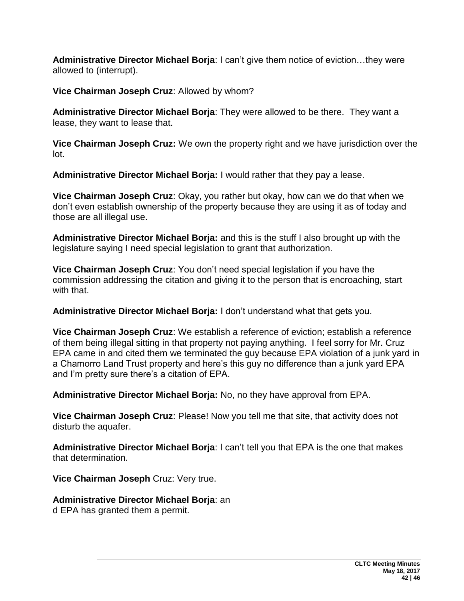**Administrative Director Michael Borja**: I can't give them notice of eviction…they were allowed to (interrupt).

**Vice Chairman Joseph Cruz**: Allowed by whom?

**Administrative Director Michael Borja**: They were allowed to be there. They want a lease, they want to lease that.

**Vice Chairman Joseph Cruz:** We own the property right and we have jurisdiction over the lot.

**Administrative Director Michael Borja:** I would rather that they pay a lease.

**Vice Chairman Joseph Cruz**: Okay, you rather but okay, how can we do that when we don't even establish ownership of the property because they are using it as of today and those are all illegal use.

**Administrative Director Michael Borja:** and this is the stuff I also brought up with the legislature saying I need special legislation to grant that authorization.

**Vice Chairman Joseph Cruz**: You don't need special legislation if you have the commission addressing the citation and giving it to the person that is encroaching, start with that.

**Administrative Director Michael Borja:** I don't understand what that gets you.

**Vice Chairman Joseph Cruz**: We establish a reference of eviction; establish a reference of them being illegal sitting in that property not paying anything. I feel sorry for Mr. Cruz EPA came in and cited them we terminated the guy because EPA violation of a junk yard in a Chamorro Land Trust property and here's this guy no difference than a junk yard EPA and I'm pretty sure there's a citation of EPA.

**Administrative Director Michael Borja:** No, no they have approval from EPA.

**Vice Chairman Joseph Cruz**: Please! Now you tell me that site, that activity does not disturb the aquafer.

**Administrative Director Michael Borja**: I can't tell you that EPA is the one that makes that determination.

**Vice Chairman Joseph** Cruz: Very true.

## **Administrative Director Michael Borja**: an

d EPA has granted them a permit.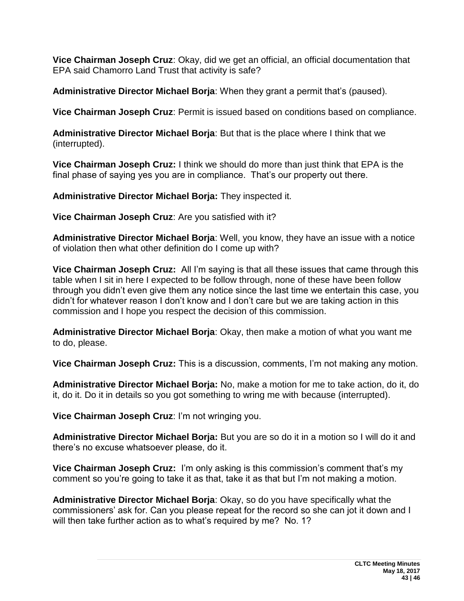**Vice Chairman Joseph Cruz**: Okay, did we get an official, an official documentation that EPA said Chamorro Land Trust that activity is safe?

**Administrative Director Michael Borja**: When they grant a permit that's (paused).

**Vice Chairman Joseph Cruz**: Permit is issued based on conditions based on compliance.

**Administrative Director Michael Borja**: But that is the place where I think that we (interrupted).

**Vice Chairman Joseph Cruz:** I think we should do more than just think that EPA is the final phase of saying yes you are in compliance. That's our property out there.

**Administrative Director Michael Borja:** They inspected it.

**Vice Chairman Joseph Cruz**: Are you satisfied with it?

**Administrative Director Michael Borja**: Well, you know, they have an issue with a notice of violation then what other definition do I come up with?

**Vice Chairman Joseph Cruz:** All I'm saying is that all these issues that came through this table when I sit in here I expected to be follow through, none of these have been follow through you didn't even give them any notice since the last time we entertain this case, you didn't for whatever reason I don't know and I don't care but we are taking action in this commission and I hope you respect the decision of this commission.

**Administrative Director Michael Borja**: Okay, then make a motion of what you want me to do, please.

**Vice Chairman Joseph Cruz:** This is a discussion, comments, I'm not making any motion.

**Administrative Director Michael Borja:** No, make a motion for me to take action, do it, do it, do it. Do it in details so you got something to wring me with because (interrupted).

**Vice Chairman Joseph Cruz**: I'm not wringing you.

**Administrative Director Michael Borja:** But you are so do it in a motion so I will do it and there's no excuse whatsoever please, do it.

**Vice Chairman Joseph Cruz:** I'm only asking is this commission's comment that's my comment so you're going to take it as that, take it as that but I'm not making a motion.

**Administrative Director Michael Borja**: Okay, so do you have specifically what the commissioners' ask for. Can you please repeat for the record so she can jot it down and I will then take further action as to what's required by me? No. 1?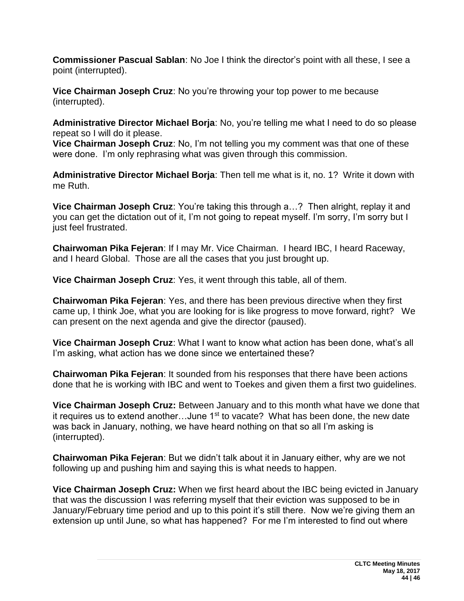**Commissioner Pascual Sablan**: No Joe I think the director's point with all these, I see a point (interrupted).

**Vice Chairman Joseph Cruz**: No you're throwing your top power to me because (interrupted).

**Administrative Director Michael Borja**: No, you're telling me what I need to do so please repeat so I will do it please.

**Vice Chairman Joseph Cruz**: No, I'm not telling you my comment was that one of these were done. I'm only rephrasing what was given through this commission.

**Administrative Director Michael Borja**: Then tell me what is it, no. 1? Write it down with me Ruth.

**Vice Chairman Joseph Cruz**: You're taking this through a…? Then alright, replay it and you can get the dictation out of it, I'm not going to repeat myself. I'm sorry, I'm sorry but I just feel frustrated.

**Chairwoman Pika Fejeran**: If I may Mr. Vice Chairman. I heard IBC, I heard Raceway, and I heard Global. Those are all the cases that you just brought up.

**Vice Chairman Joseph Cruz**: Yes, it went through this table, all of them.

**Chairwoman Pika Fejeran**: Yes, and there has been previous directive when they first came up, I think Joe, what you are looking for is like progress to move forward, right? We can present on the next agenda and give the director (paused).

**Vice Chairman Joseph Cruz**: What I want to know what action has been done, what's all I'm asking, what action has we done since we entertained these?

**Chairwoman Pika Fejeran**: It sounded from his responses that there have been actions done that he is working with IBC and went to Toekes and given them a first two guidelines.

**Vice Chairman Joseph Cruz:** Between January and to this month what have we done that it requires us to extend another...June  $1<sup>st</sup>$  to vacate? What has been done, the new date was back in January, nothing, we have heard nothing on that so all I'm asking is (interrupted).

**Chairwoman Pika Fejeran**: But we didn't talk about it in January either, why are we not following up and pushing him and saying this is what needs to happen.

**Vice Chairman Joseph Cruz:** When we first heard about the IBC being evicted in January that was the discussion I was referring myself that their eviction was supposed to be in January/February time period and up to this point it's still there. Now we're giving them an extension up until June, so what has happened? For me I'm interested to find out where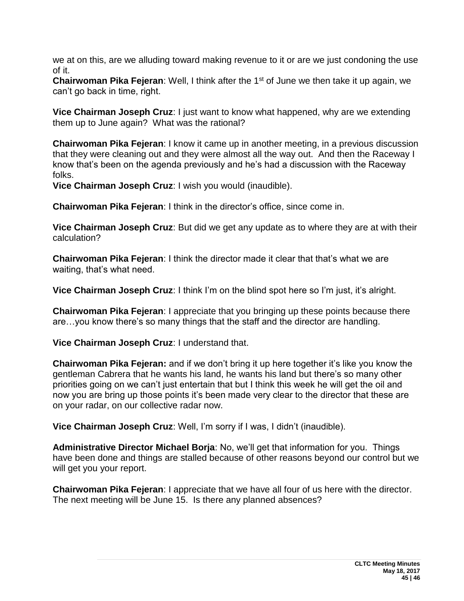we at on this, are we alluding toward making revenue to it or are we just condoning the use of it.

**Chairwoman Pika Fejeran:** Well, I think after the 1<sup>st</sup> of June we then take it up again, we can't go back in time, right.

**Vice Chairman Joseph Cruz**: I just want to know what happened, why are we extending them up to June again? What was the rational?

**Chairwoman Pika Fejeran**: I know it came up in another meeting, in a previous discussion that they were cleaning out and they were almost all the way out. And then the Raceway I know that's been on the agenda previously and he's had a discussion with the Raceway folks.

**Vice Chairman Joseph Cruz**: I wish you would (inaudible).

**Chairwoman Pika Fejeran**: I think in the director's office, since come in.

**Vice Chairman Joseph Cruz**: But did we get any update as to where they are at with their calculation?

**Chairwoman Pika Fejeran**: I think the director made it clear that that's what we are waiting, that's what need.

**Vice Chairman Joseph Cruz**: I think I'm on the blind spot here so I'm just, it's alright.

**Chairwoman Pika Fejeran**: I appreciate that you bringing up these points because there are…you know there's so many things that the staff and the director are handling.

**Vice Chairman Joseph Cruz**: I understand that.

**Chairwoman Pika Fejeran:** and if we don't bring it up here together it's like you know the gentleman Cabrera that he wants his land, he wants his land but there's so many other priorities going on we can't just entertain that but I think this week he will get the oil and now you are bring up those points it's been made very clear to the director that these are on your radar, on our collective radar now.

**Vice Chairman Joseph Cruz**: Well, I'm sorry if I was, I didn't (inaudible).

**Administrative Director Michael Borja**: No, we'll get that information for you. Things have been done and things are stalled because of other reasons beyond our control but we will get you your report.

**Chairwoman Pika Fejeran**: I appreciate that we have all four of us here with the director. The next meeting will be June 15. Is there any planned absences?